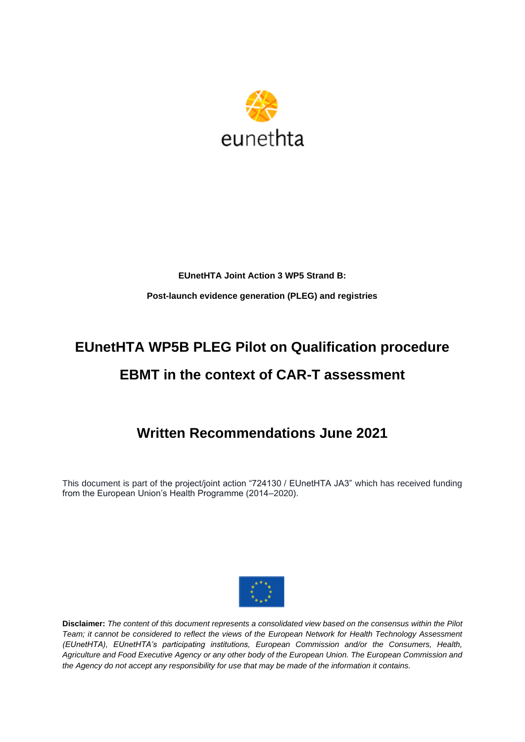

## **EUnetHTA Joint Action 3 WP5 Strand B: Post-launch evidence generation (PLEG) and registries**

# **EUnetHTA WP5B PLEG Pilot on Qualification procedure EBMT in the context of CAR-T assessment**

## **Written Recommendations June 2021**

This document is part of the project/joint action "724130 / EUnetHTA JA3" which has received funding from the European Union's Health Programme (2014–2020).



**Disclaimer:** *The content of this document represents a consolidated view based on the consensus within the Pilot Team; it cannot be considered to reflect the views of the European Network for Health Technology Assessment (EUnetHTA), EUnetHTA's participating institutions, European Commission and/or the Consumers, Health, Agriculture and Food Executive Agency or any other body of the European Union. The European Commission and the Agency do not accept any responsibility for use that may be made of the information it contains.*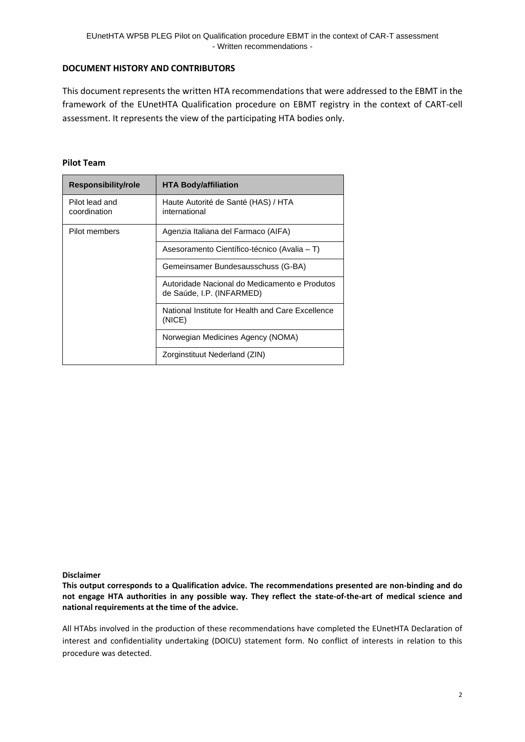#### **DOCUMENT HISTORY AND CONTRIBUTORS**

This document represents the written HTA recommendations that were addressed to the EBMT in the framework of the EUnetHTA Qualification procedure on EBMT registry in the context of CART-cell assessment. It represents the view of the participating HTA bodies only.

#### **Pilot Team**

| <b>Responsibility/role</b>     | <b>HTA Body/affiliation</b>                                                |
|--------------------------------|----------------------------------------------------------------------------|
| Pilot lead and<br>coordination | Haute Autorité de Santé (HAS) / HTA<br>international                       |
| Pilot members                  | Agenzia Italiana del Farmaco (AIFA)                                        |
|                                | Asesoramento Científico-técnico (Avalia – T)                               |
|                                | Gemeinsamer Bundesausschuss (G-BA)                                         |
|                                | Autoridade Nacional do Medicamento e Produtos<br>de Saúde, I.P. (INFARMED) |
|                                | National Institute for Health and Care Excellence<br>(NICE)                |
|                                | Norwegian Medicines Agency (NOMA)                                          |
|                                | Zorginstituut Nederland (ZIN)                                              |

**Disclaimer**

**This output corresponds to a Qualification advice. The recommendations presented are non-binding and do not engage HTA authorities in any possible way. They reflect the state-of-the-art of medical science and national requirements at the time of the advice.**

All HTAbs involved in the production of these recommendations have completed the EUnetHTA Declaration of interest and confidentiality undertaking (DOICU) statement form. No conflict of interests in relation to this procedure was detected.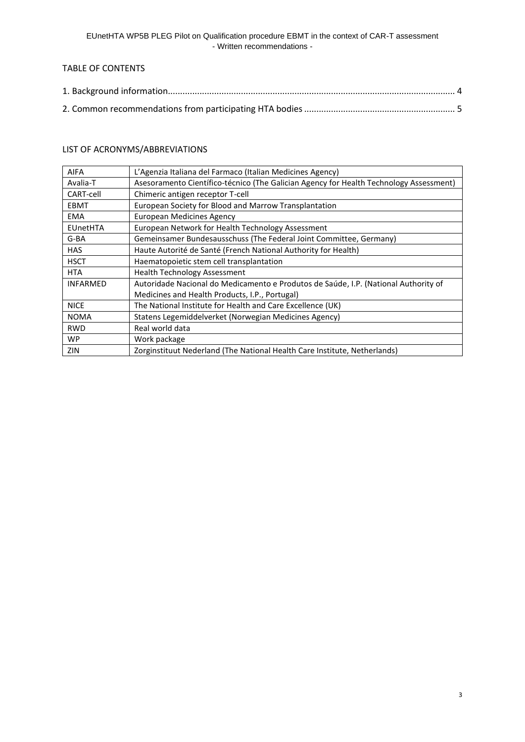## TABLE OF CONTENTS

## LIST OF ACRONYMS/ABBREVIATIONS

| <b>AIFA</b>     | L'Agenzia Italiana del Farmaco (Italian Medicines Agency)                              |
|-----------------|----------------------------------------------------------------------------------------|
| Avalia-T        | Asesoramento Científico-técnico (The Galician Agency for Health Technology Assessment) |
| CART-cell       | Chimeric antigen receptor T-cell                                                       |
| <b>EBMT</b>     | European Society for Blood and Marrow Transplantation                                  |
| <b>EMA</b>      | <b>European Medicines Agency</b>                                                       |
| <b>EUnetHTA</b> | European Network for Health Technology Assessment                                      |
| G-BA            | Gemeinsamer Bundesausschuss (The Federal Joint Committee, Germany)                     |
| <b>HAS</b>      | Haute Autorité de Santé (French National Authority for Health)                         |
| <b>HSCT</b>     | Haematopoietic stem cell transplantation                                               |
| <b>HTA</b>      | <b>Health Technology Assessment</b>                                                    |
| <b>INFARMED</b> | Autoridade Nacional do Medicamento e Produtos de Saúde, I.P. (National Authority of    |
|                 | Medicines and Health Products, I.P., Portugal)                                         |
| <b>NICE</b>     | The National Institute for Health and Care Excellence (UK)                             |
| <b>NOMA</b>     | Statens Legemiddelverket (Norwegian Medicines Agency)                                  |
| <b>RWD</b>      | Real world data                                                                        |
| <b>WP</b>       | Work package                                                                           |
| ZIN             | Zorginstituut Nederland (The National Health Care Institute, Netherlands)              |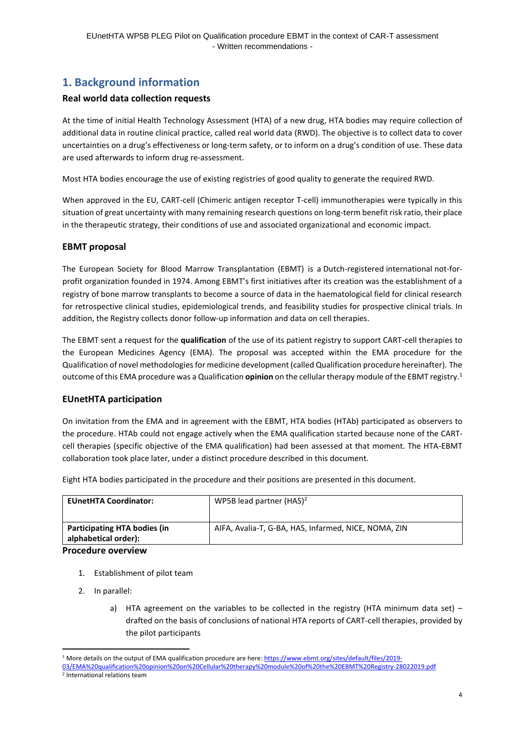## <span id="page-3-0"></span>**1. Background information**

### **Real world data collection requests**

At the time of initial Health Technology Assessment (HTA) of a new drug, HTA bodies may require collection of additional data in routine clinical practice, called real world data (RWD). The objective is to collect data to cover uncertainties on a drug's effectiveness or long-term safety, or to inform on a drug's condition of use. These data are used afterwards to inform drug re-assessment.

Most HTA bodies encourage the use of existing registries of good quality to generate the required RWD.

When approved in the EU, CART-cell (Chimeric antigen receptor T-cell) immunotherapies were typically in this situation of great uncertainty with many remaining research questions on long-term benefit risk ratio, their place in the therapeutic strategy, their conditions of use and associated organizational and economic impact.

#### **EBMT proposal**

The European Society for Blood Marrow Transplantation (EBMT) is a Dutch-registered international not-forprofit organization founded in 1974. Among EBMT's first initiatives after its creation was the establishment of a registry of bone marrow transplants to become a source of data in the haematological field for clinical research for retrospective clinical studies, epidemiological trends, and feasibility studies for prospective clinical trials. In addition, the Registry collects donor follow-up information and data on cell therapies.

The EBMT sent a request for the **qualification** of the use of its patient registry to support CART-cell therapies to the European Medicines Agency (EMA). The proposal was accepted within the EMA procedure for the Qualification of novel methodologies for medicine development (called Qualification procedure hereinafter). The outcome of this EMA procedure was a Qualification **opinion** on the cellular therapy module of the EBMT registry. 1

### **EUnetHTA participation**

On invitation from the EMA and in agreement with the EBMT, HTA bodies (HTAb) participated as observers to the procedure. HTAb could not engage actively when the EMA qualification started because none of the CARTcell therapies (specific objective of the EMA qualification) had been assessed at that moment. The HTA-EBMT collaboration took place later, under a distinct procedure described in this document.

| <b>EUnetHTA Coordinator:</b> | WP5B lead partner $(HAS)^2$                          |  |
|------------------------------|------------------------------------------------------|--|
|                              |                                                      |  |
| Participating HTA bodies (in | AIFA, Avalia-T, G-BA, HAS, Infarmed, NICE, NOMA, ZIN |  |

Eight HTA bodies participated in the procedure and their positions are presented in this document.

#### **alphabetical order): Procedure overview**

- 1. Establishment of pilot team
- 2. In parallel:
	- a) HTA agreement on the variables to be collected in the registry (HTA minimum data set) drafted on the basis of conclusions of national HTA reports of CART-cell therapies, provided by the pilot participants

<sup>1</sup> More details on the output of EMA qualification procedure are here[: https://www.ebmt.org/sites/default/files/2019-](https://www.ebmt.org/sites/default/files/2019-03/EMA%20qualification%20opinion%20on%20Cellular%20therapy%20module%20of%20the%20EBMT%20Registry-28022019.pdf) [03/EMA%20qualification%20opinion%20on%20Cellular%20therapy%20module%20of%20the%20EBMT%20Registry-28022019.pdf](https://www.ebmt.org/sites/default/files/2019-03/EMA%20qualification%20opinion%20on%20Cellular%20therapy%20module%20of%20the%20EBMT%20Registry-28022019.pdf) 2 International relations team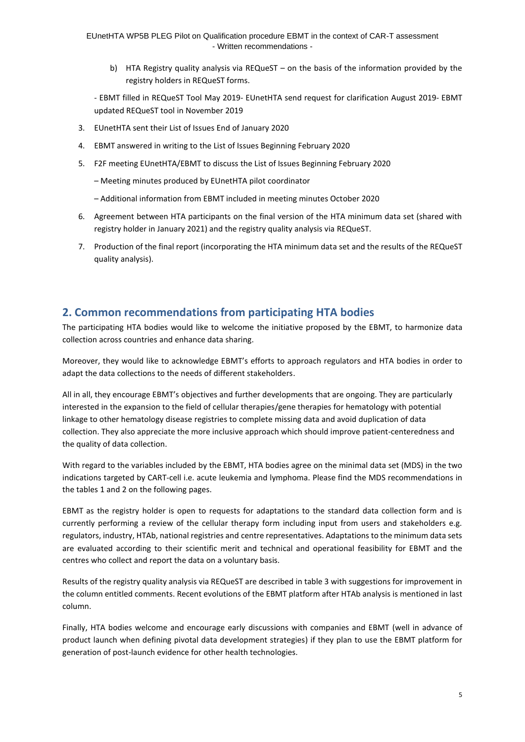b) HTA Registry quality analysis via REQueST – on the basis of the information provided by the registry holders in REQueST forms.

- EBMT filled in REQueST Tool May 2019- EUnetHTA send request for clarification August 2019- EBMT updated REQueST tool in November 2019

- 3. EUnetHTA sent their List of Issues End of January 2020
- 4. EBMT answered in writing to the List of Issues Beginning February 2020
- 5. F2F meeting EUnetHTA/EBMT to discuss the List of Issues Beginning February 2020
	- Meeting minutes produced by EUnetHTA pilot coordinator
	- Additional information from EBMT included in meeting minutes October 2020
- 6. Agreement between HTA participants on the final version of the HTA minimum data set (shared with registry holder in January 2021) and the registry quality analysis via REQueST.
- 7. Production of the final report (incorporating the HTA minimum data set and the results of the REQueST quality analysis).

## <span id="page-4-0"></span>**2. Common recommendations from participating HTA bodies**

The participating HTA bodies would like to welcome the initiative proposed by the EBMT, to harmonize data collection across countries and enhance data sharing.

Moreover, they would like to acknowledge EBMT's efforts to approach regulators and HTA bodies in order to adapt the data collections to the needs of different stakeholders.

All in all, they encourage EBMT's objectives and further developments that are ongoing. They are particularly interested in the expansion to the field of cellular therapies/gene therapies for hematology with potential linkage to other hematology disease registries to complete missing data and avoid duplication of data collection. They also appreciate the more inclusive approach which should improve patient-centeredness and the quality of data collection.

With regard to the variables included by the EBMT, HTA bodies agree on the minimal data set (MDS) in the two indications targeted by CART-cell i.e. acute leukemia and lymphoma. Please find the MDS recommendations in the tables 1 and 2 on the following pages.

EBMT as the registry holder is open to requests for adaptations to the standard data collection form and is currently performing a review of the cellular therapy form including input from users and stakeholders e.g. regulators, industry, HTAb, national registries and centre representatives. Adaptations to the minimum data sets are evaluated according to their scientific merit and technical and operational feasibility for EBMT and the centres who collect and report the data on a voluntary basis.

Results of the registry quality analysis via REQueST are described in table 3 with suggestions for improvement in the column entitled comments. Recent evolutions of the EBMT platform after HTAb analysis is mentioned in last column.

Finally, HTA bodies welcome and encourage early discussions with companies and EBMT (well in advance of product launch when defining pivotal data development strategies) if they plan to use the EBMT platform for generation of post-launch evidence for other health technologies.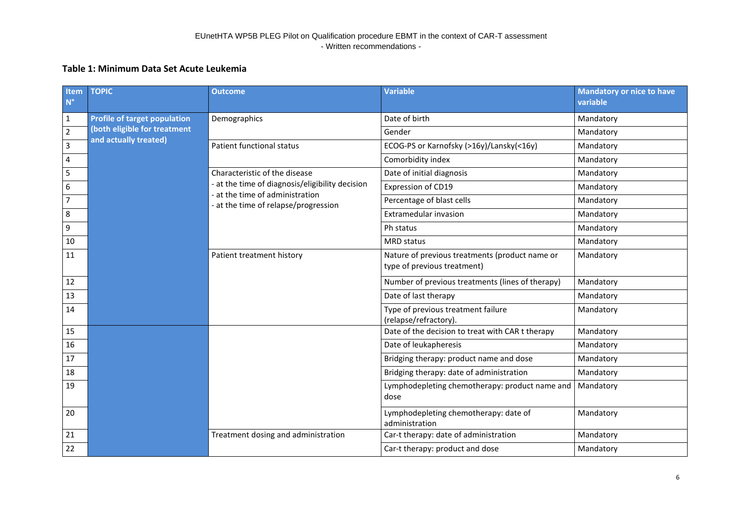## **Table 1: Minimum Data Set Acute Leukemia**

| Item<br>$N^{\circ}$ | <b>TOPIC</b>                        | <b>Outcome</b>                                                                     | <b>Variable</b>                                                               | <b>Mandatory or nice to have</b><br>variable |
|---------------------|-------------------------------------|------------------------------------------------------------------------------------|-------------------------------------------------------------------------------|----------------------------------------------|
| $\mathbf{1}$        | <b>Profile of target population</b> | Demographics                                                                       | Date of birth                                                                 | Mandatory                                    |
| $\overline{2}$      | (both eligible for treatment        |                                                                                    | Gender                                                                        | Mandatory                                    |
| 3                   | and actually treated)               | Patient functional status                                                          | ECOG-PS or Karnofsky (>16y)/Lansky(<16y)                                      | Mandatory                                    |
| $\pmb{4}$           |                                     |                                                                                    | Comorbidity index                                                             | Mandatory                                    |
| 5                   |                                     | Characteristic of the disease                                                      | Date of initial diagnosis                                                     | Mandatory                                    |
| $\boldsymbol{6}$    |                                     | - at the time of diagnosis/eligibility decision<br>- at the time of administration | Expression of CD19                                                            | Mandatory                                    |
| $\overline{7}$      |                                     | - at the time of relapse/progression                                               | Percentage of blast cells                                                     | Mandatory                                    |
| $\,8\,$             |                                     |                                                                                    | Extramedular invasion                                                         | Mandatory                                    |
| $\boldsymbol{9}$    |                                     |                                                                                    | Ph status                                                                     | Mandatory                                    |
| 10                  |                                     |                                                                                    | <b>MRD</b> status                                                             | Mandatory                                    |
| 11                  |                                     | Patient treatment history                                                          | Nature of previous treatments (product name or<br>type of previous treatment) | Mandatory                                    |
| 12                  |                                     |                                                                                    | Number of previous treatments (lines of therapy)                              | Mandatory                                    |
| 13                  |                                     |                                                                                    | Date of last therapy                                                          | Mandatory                                    |
| 14                  |                                     |                                                                                    | Type of previous treatment failure<br>(relapse/refractory).                   | Mandatory                                    |
| 15                  |                                     |                                                                                    | Date of the decision to treat with CAR t therapy                              | Mandatory                                    |
| 16                  |                                     |                                                                                    | Date of leukapheresis                                                         | Mandatory                                    |
| 17                  |                                     |                                                                                    | Bridging therapy: product name and dose                                       | Mandatory                                    |
| 18                  |                                     |                                                                                    | Bridging therapy: date of administration                                      | Mandatory                                    |
| 19                  |                                     |                                                                                    | Lymphodepleting chemotherapy: product name and<br>dose                        | Mandatory                                    |
| 20                  |                                     |                                                                                    | Lymphodepleting chemotherapy: date of<br>administration                       | Mandatory                                    |
| 21                  |                                     | Treatment dosing and administration                                                | Car-t therapy: date of administration                                         | Mandatory                                    |
| 22                  |                                     |                                                                                    | Car-t therapy: product and dose                                               | Mandatory                                    |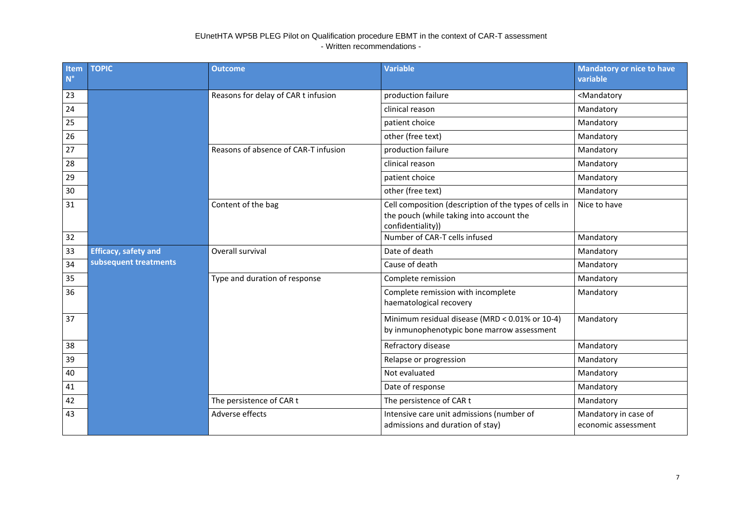| Item<br>$N^{\circ}$ | <b>TOPIC</b>                | <b>Outcome</b>                       | <b>Variable</b>                                                                                                         | <b>Mandatory or nice to have</b><br>variable |
|---------------------|-----------------------------|--------------------------------------|-------------------------------------------------------------------------------------------------------------------------|----------------------------------------------|
| 23                  |                             | Reasons for delay of CAR t infusion  | production failure                                                                                                      | <mandatory< td=""></mandatory<>              |
| 24                  |                             |                                      | clinical reason                                                                                                         | Mandatory                                    |
| 25                  |                             |                                      | patient choice                                                                                                          | Mandatory                                    |
| 26                  |                             |                                      | other (free text)                                                                                                       | Mandatory                                    |
| 27                  |                             | Reasons of absence of CAR-T infusion | production failure                                                                                                      | Mandatory                                    |
| 28                  |                             |                                      | clinical reason                                                                                                         | Mandatory                                    |
| 29                  |                             |                                      | patient choice                                                                                                          | Mandatory                                    |
| 30                  |                             |                                      | other (free text)                                                                                                       | Mandatory                                    |
| 31                  |                             | Content of the bag                   | Cell composition (description of the types of cells in<br>the pouch (while taking into account the<br>confidentiality)) | Nice to have                                 |
| 32                  |                             |                                      | Number of CAR-T cells infused                                                                                           | Mandatory                                    |
| 33                  | <b>Efficacy, safety and</b> | Overall survival                     | Date of death                                                                                                           | Mandatory                                    |
| 34                  | subsequent treatments       |                                      | Cause of death                                                                                                          | Mandatory                                    |
| 35                  |                             | Type and duration of response        | Complete remission                                                                                                      | Mandatory                                    |
| 36                  |                             |                                      | Complete remission with incomplete<br>haematological recovery                                                           | Mandatory                                    |
| 37                  |                             |                                      | Minimum residual disease (MRD < 0.01% or 10-4)<br>by inmunophenotypic bone marrow assessment                            | Mandatory                                    |
| 38                  |                             |                                      | Refractory disease                                                                                                      | Mandatory                                    |
| 39                  |                             |                                      | Relapse or progression                                                                                                  | Mandatory                                    |
| 40                  |                             |                                      | Not evaluated                                                                                                           | Mandatory                                    |
| 41                  |                             |                                      | Date of response                                                                                                        | Mandatory                                    |
| 42                  |                             | The persistence of CAR t             | The persistence of CAR t                                                                                                | Mandatory                                    |
| 43                  |                             | Adverse effects                      | Intensive care unit admissions (number of<br>admissions and duration of stay)                                           | Mandatory in case of<br>economic assessment  |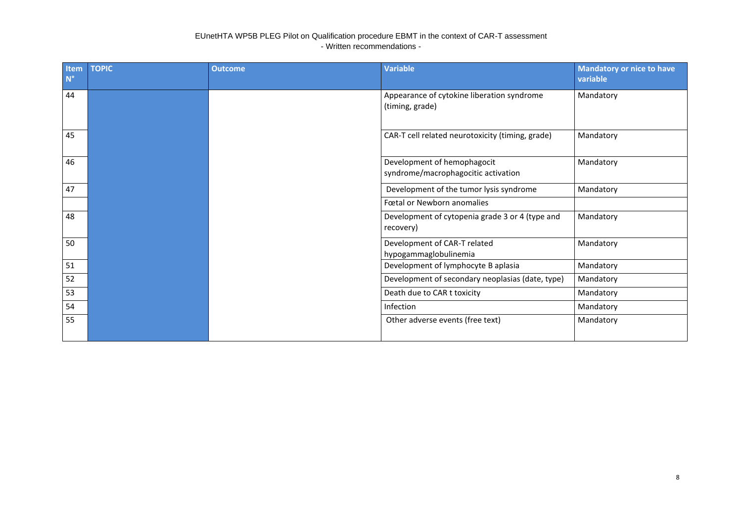| Item<br>$N^{\circ}$ | <b>TOPIC</b> | <b>Outcome</b> | <b>Variable</b>                                                    | <b>Mandatory or nice to have</b><br>variable |
|---------------------|--------------|----------------|--------------------------------------------------------------------|----------------------------------------------|
| 44                  |              |                | Appearance of cytokine liberation syndrome<br>(timing, grade)      | Mandatory                                    |
| 45                  |              |                | CAR-T cell related neurotoxicity (timing, grade)                   | Mandatory                                    |
| 46                  |              |                | Development of hemophagocit<br>syndrome/macrophagocitic activation | Mandatory                                    |
| 47                  |              |                | Development of the tumor lysis syndrome                            | Mandatory                                    |
|                     |              |                | Fœtal or Newborn anomalies                                         |                                              |
| 48                  |              |                | Development of cytopenia grade 3 or 4 (type and<br>recovery)       | Mandatory                                    |
| 50                  |              |                | Development of CAR-T related<br>hypogammaglobulinemia              | Mandatory                                    |
| 51                  |              |                | Development of lymphocyte B aplasia                                | Mandatory                                    |
| 52                  |              |                | Development of secondary neoplasias (date, type)                   | Mandatory                                    |
| 53                  |              |                | Death due to CAR t toxicity                                        | Mandatory                                    |
| 54                  |              |                | Infection                                                          | Mandatory                                    |
| 55                  |              |                | Other adverse events (free text)                                   | Mandatory                                    |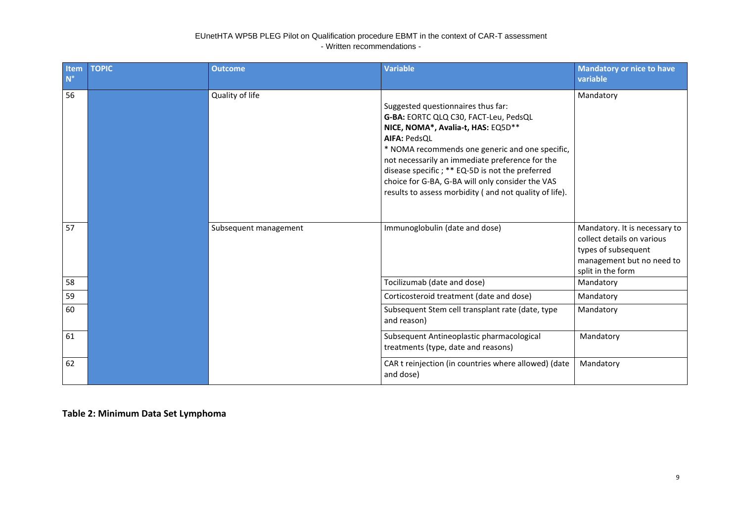| Item<br>$N^{\circ}$ | <b>TOPIC</b> | <b>Outcome</b>        | Variable                                                                                                                                                                                                                                                                                                                                                                                                        | <b>Mandatory or nice to have</b><br>variable                                                                                         |
|---------------------|--------------|-----------------------|-----------------------------------------------------------------------------------------------------------------------------------------------------------------------------------------------------------------------------------------------------------------------------------------------------------------------------------------------------------------------------------------------------------------|--------------------------------------------------------------------------------------------------------------------------------------|
| 56                  |              | Quality of life       | Suggested questionnaires thus far:<br>G-BA: EORTC QLQ C30, FACT-Leu, PedsQL<br>NICE, NOMA*, Avalia-t, HAS: EQ5D**<br><b>AIFA: PedsQL</b><br>* NOMA recommends one generic and one specific,<br>not necessarily an immediate preference for the<br>disease specific; ** EQ-5D is not the preferred<br>choice for G-BA, G-BA will only consider the VAS<br>results to assess morbidity (and not quality of life). | Mandatory                                                                                                                            |
| 57                  |              | Subsequent management | Immunoglobulin (date and dose)                                                                                                                                                                                                                                                                                                                                                                                  | Mandatory. It is necessary to<br>collect details on various<br>types of subsequent<br>management but no need to<br>split in the form |
| 58                  |              |                       | Tocilizumab (date and dose)                                                                                                                                                                                                                                                                                                                                                                                     | Mandatory                                                                                                                            |
| 59                  |              |                       | Corticosteroid treatment (date and dose)                                                                                                                                                                                                                                                                                                                                                                        | Mandatory                                                                                                                            |
| 60                  |              |                       | Subsequent Stem cell transplant rate (date, type<br>and reason)                                                                                                                                                                                                                                                                                                                                                 | Mandatory                                                                                                                            |
| 61                  |              |                       | Subsequent Antineoplastic pharmacological<br>treatments (type, date and reasons)                                                                                                                                                                                                                                                                                                                                | Mandatory                                                                                                                            |
| 62                  |              |                       | CAR t reinjection (in countries where allowed) (date<br>and dose)                                                                                                                                                                                                                                                                                                                                               | Mandatory                                                                                                                            |

**Table 2: Minimum Data Set Lymphoma**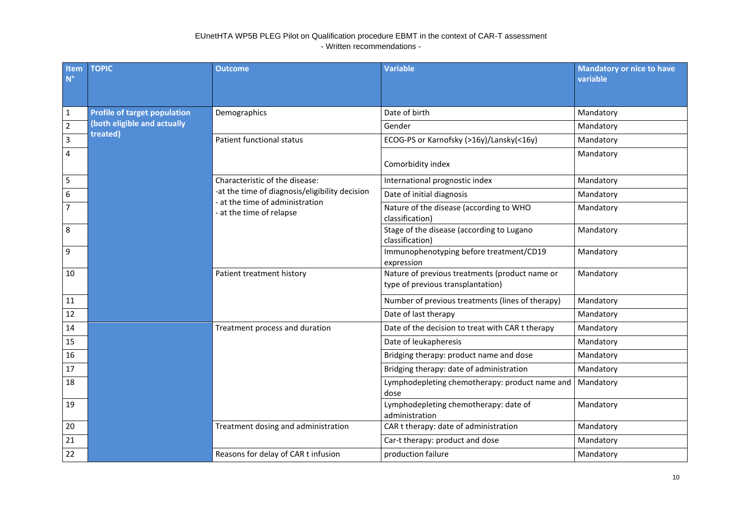| Item<br>$N^{\circ}$ | <b>TOPIC</b>                        | <b>Outcome</b>                                          | <b>Variable</b>                                                                     | <b>Mandatory or nice to have</b><br>variable |
|---------------------|-------------------------------------|---------------------------------------------------------|-------------------------------------------------------------------------------------|----------------------------------------------|
| $\mathbf 1$         | <b>Profile of target population</b> | Demographics                                            | Date of birth                                                                       | Mandatory                                    |
| $\overline{2}$      | (both eligible and actually         |                                                         | Gender                                                                              | Mandatory                                    |
| $\mathbf{3}$        | treated)                            | Patient functional status                               | ECOG-PS or Karnofsky (>16y)/Lansky(<16y)                                            | Mandatory                                    |
| $\overline{4}$      |                                     |                                                         | Comorbidity index                                                                   | Mandatory                                    |
|                     |                                     | Characteristic of the disease:                          | International prognostic index                                                      | Mandatory                                    |
| $\boldsymbol{6}$    |                                     | -at the time of diagnosis/eligibility decision          | Date of initial diagnosis                                                           | Mandatory                                    |
| $\overline{7}$      |                                     | at the time of administration<br>at the time of relapse | Nature of the disease (according to WHO<br>classification)                          | Mandatory                                    |
| 8                   |                                     |                                                         | Stage of the disease (according to Lugano<br>classification)                        | Mandatory                                    |
| $\overline{9}$      |                                     |                                                         | Immunophenotyping before treatment/CD19<br>expression                               | Mandatory                                    |
| 10                  |                                     | Patient treatment history                               | Nature of previous treatments (product name or<br>type of previous transplantation) | Mandatory                                    |
| 11                  |                                     |                                                         | Number of previous treatments (lines of therapy)                                    | Mandatory                                    |
| 12                  |                                     |                                                         | Date of last therapy                                                                | Mandatory                                    |
| 14                  |                                     | Treatment process and duration                          | Date of the decision to treat with CAR t therapy                                    | Mandatory                                    |
| 15                  |                                     |                                                         | Date of leukapheresis                                                               | Mandatory                                    |
| 16                  |                                     |                                                         | Bridging therapy: product name and dose                                             | Mandatory                                    |
| 17                  |                                     |                                                         | Bridging therapy: date of administration                                            | Mandatory                                    |
| 18                  |                                     |                                                         | Lymphodepleting chemotherapy: product name and<br>dose                              | Mandatory                                    |
| 19                  |                                     |                                                         | Lymphodepleting chemotherapy: date of<br>administration                             | Mandatory                                    |
| 20                  |                                     | Treatment dosing and administration                     | CAR t therapy: date of administration                                               | Mandatory                                    |
| 21                  |                                     |                                                         | Car-t therapy: product and dose                                                     | Mandatory                                    |
| 22                  |                                     | Reasons for delay of CAR t infusion                     | production failure                                                                  | Mandatory                                    |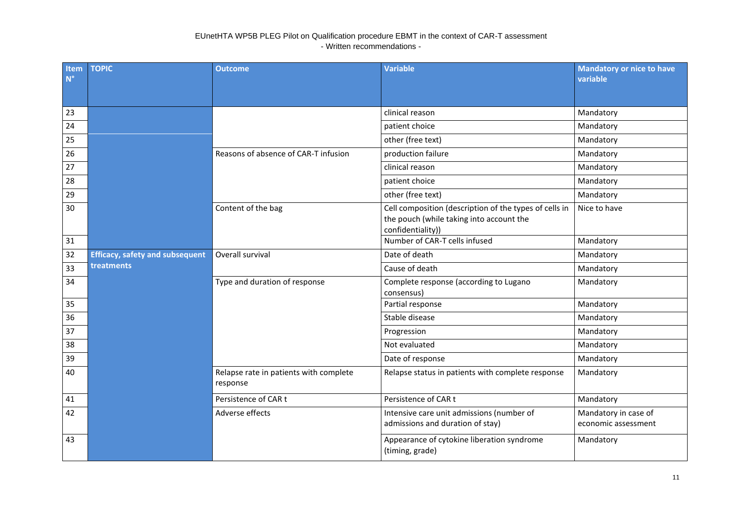| Item<br>$N^{\circ}$ | <b>TOPIC</b>                           | <b>Outcome</b>                                     | <b>Variable</b>                                                                                                         | <b>Mandatory or nice to have</b><br>variable |
|---------------------|----------------------------------------|----------------------------------------------------|-------------------------------------------------------------------------------------------------------------------------|----------------------------------------------|
| 23                  |                                        |                                                    | clinical reason                                                                                                         | Mandatory                                    |
| 24                  |                                        |                                                    | patient choice                                                                                                          | Mandatory                                    |
| 25                  |                                        |                                                    | other (free text)                                                                                                       | Mandatory                                    |
| 26                  |                                        | Reasons of absence of CAR-T infusion               | production failure                                                                                                      | Mandatory                                    |
| 27                  |                                        |                                                    | clinical reason                                                                                                         | Mandatory                                    |
| 28                  |                                        |                                                    | patient choice                                                                                                          | Mandatory                                    |
| 29                  |                                        |                                                    | other (free text)                                                                                                       | Mandatory                                    |
| 30                  |                                        | Content of the bag                                 | Cell composition (description of the types of cells in<br>the pouch (while taking into account the<br>confidentiality)) | Nice to have                                 |
| 31                  |                                        |                                                    | Number of CAR-T cells infused                                                                                           | Mandatory                                    |
| 32                  | <b>Efficacy, safety and subsequent</b> | Overall survival                                   | Date of death                                                                                                           | Mandatory                                    |
| 33                  | treatments                             |                                                    | Cause of death                                                                                                          | Mandatory                                    |
| 34                  |                                        | Type and duration of response                      | Complete response (according to Lugano<br>consensus)                                                                    | Mandatory                                    |
| 35                  |                                        |                                                    | Partial response                                                                                                        | Mandatory                                    |
| 36                  |                                        |                                                    | Stable disease                                                                                                          | Mandatory                                    |
| 37                  |                                        |                                                    | Progression                                                                                                             | Mandatory                                    |
| 38                  |                                        |                                                    | Not evaluated                                                                                                           | Mandatory                                    |
| 39                  |                                        |                                                    | Date of response                                                                                                        | Mandatory                                    |
| 40                  |                                        | Relapse rate in patients with complete<br>response | Relapse status in patients with complete response                                                                       | Mandatory                                    |
| 41                  |                                        | Persistence of CAR t                               | Persistence of CAR t                                                                                                    | Mandatory                                    |
| 42                  |                                        | Adverse effects                                    | Intensive care unit admissions (number of<br>admissions and duration of stay)                                           | Mandatory in case of<br>economic assessment  |
| 43                  |                                        |                                                    | Appearance of cytokine liberation syndrome<br>(timing, grade)                                                           | Mandatory                                    |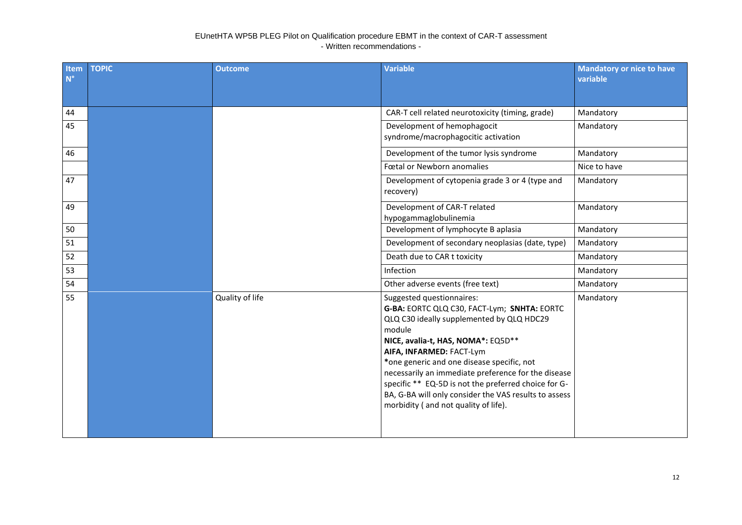| Item<br>$N^{\circ}$ | <b>TOPIC</b> | <b>Outcome</b>  | <b>Variable</b>                                                                                                                                                                                                                                                                                                                                                                                                                                                 | <b>Mandatory or nice to have</b><br>variable |
|---------------------|--------------|-----------------|-----------------------------------------------------------------------------------------------------------------------------------------------------------------------------------------------------------------------------------------------------------------------------------------------------------------------------------------------------------------------------------------------------------------------------------------------------------------|----------------------------------------------|
| 44                  |              |                 | CAR-T cell related neurotoxicity (timing, grade)                                                                                                                                                                                                                                                                                                                                                                                                                | Mandatory                                    |
| 45                  |              |                 | Development of hemophagocit<br>syndrome/macrophagocitic activation                                                                                                                                                                                                                                                                                                                                                                                              | Mandatory                                    |
| 46                  |              |                 | Development of the tumor lysis syndrome                                                                                                                                                                                                                                                                                                                                                                                                                         | Mandatory                                    |
|                     |              |                 | Fœtal or Newborn anomalies                                                                                                                                                                                                                                                                                                                                                                                                                                      | Nice to have                                 |
| 47                  |              |                 | Development of cytopenia grade 3 or 4 (type and<br>recovery)                                                                                                                                                                                                                                                                                                                                                                                                    | Mandatory                                    |
| 49                  |              |                 | Development of CAR-T related<br>hypogammaglobulinemia                                                                                                                                                                                                                                                                                                                                                                                                           | Mandatory                                    |
| 50                  |              |                 | Development of lymphocyte B aplasia                                                                                                                                                                                                                                                                                                                                                                                                                             | Mandatory                                    |
| 51                  |              |                 | Development of secondary neoplasias (date, type)                                                                                                                                                                                                                                                                                                                                                                                                                | Mandatory                                    |
| 52                  |              |                 | Death due to CAR t toxicity                                                                                                                                                                                                                                                                                                                                                                                                                                     | Mandatory                                    |
| 53                  |              |                 | Infection                                                                                                                                                                                                                                                                                                                                                                                                                                                       | Mandatory                                    |
| 54                  |              |                 | Other adverse events (free text)                                                                                                                                                                                                                                                                                                                                                                                                                                | Mandatory                                    |
| 55                  |              | Quality of life | Suggested questionnaires:<br>G-BA: EORTC QLQ C30, FACT-Lym; SNHTA: EORTC<br>QLQ C30 ideally supplemented by QLQ HDC29<br>module<br>NICE, avalia-t, HAS, NOMA*: EQ5D**<br>AIFA, INFARMED: FACT-Lym<br>*one generic and one disease specific, not<br>necessarily an immediate preference for the disease<br>specific ** EQ-5D is not the preferred choice for G-<br>BA, G-BA will only consider the VAS results to assess<br>morbidity (and not quality of life). | Mandatory                                    |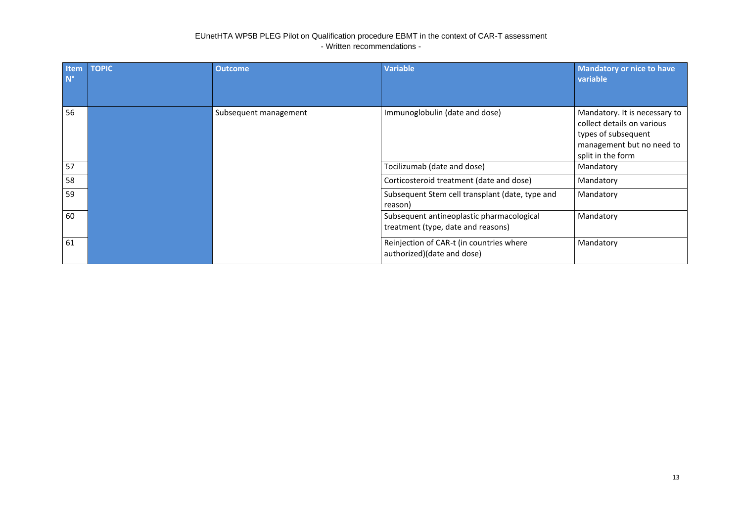| Item<br>$N^{\circ}$ | <b>TOPIC</b> | <b>Outcome</b>        | <b>Variable</b>                                                                 | <b>Mandatory or nice to have</b><br>variable                                                                                         |
|---------------------|--------------|-----------------------|---------------------------------------------------------------------------------|--------------------------------------------------------------------------------------------------------------------------------------|
| 56                  |              | Subsequent management | Immunoglobulin (date and dose)                                                  | Mandatory. It is necessary to<br>collect details on various<br>types of subsequent<br>management but no need to<br>split in the form |
| 57                  |              |                       | Tocilizumab (date and dose)                                                     | Mandatory                                                                                                                            |
| 58                  |              |                       | Corticosteroid treatment (date and dose)                                        | Mandatory                                                                                                                            |
| 59                  |              |                       | Subsequent Stem cell transplant (date, type and<br>reason)                      | Mandatory                                                                                                                            |
| 60                  |              |                       | Subsequent antineoplastic pharmacological<br>treatment (type, date and reasons) | Mandatory                                                                                                                            |
| 61                  |              |                       | Reinjection of CAR-t (in countries where<br>authorized)(date and dose)          | Mandatory                                                                                                                            |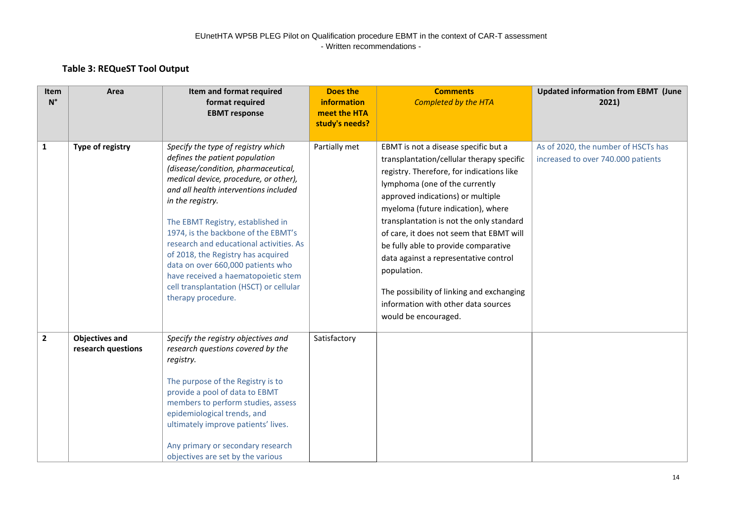## **Table 3: REQueST Tool Output**

| Item<br>$N^{\circ}$ | Area                                        | Item and format required<br>format required<br><b>EBMT</b> response                                                                                                                                                                                                                                                                                                                                                                                                                                                         | Does the<br>information<br>meet the HTA<br>study's needs? | <b>Comments</b><br><b>Completed by the HTA</b>                                                                                                                                                                                                                                                                                                                                                                                                                                                                                                  | <b>Updated information from EBMT (June</b><br>2021)                       |
|---------------------|---------------------------------------------|-----------------------------------------------------------------------------------------------------------------------------------------------------------------------------------------------------------------------------------------------------------------------------------------------------------------------------------------------------------------------------------------------------------------------------------------------------------------------------------------------------------------------------|-----------------------------------------------------------|-------------------------------------------------------------------------------------------------------------------------------------------------------------------------------------------------------------------------------------------------------------------------------------------------------------------------------------------------------------------------------------------------------------------------------------------------------------------------------------------------------------------------------------------------|---------------------------------------------------------------------------|
| $\mathbf{1}$        | Type of registry                            | Specify the type of registry which<br>defines the patient population<br>(disease/condition, pharmaceutical,<br>medical device, procedure, or other),<br>and all health interventions included<br>in the registry.<br>The EBMT Registry, established in<br>1974, is the backbone of the EBMT's<br>research and educational activities. As<br>of 2018, the Registry has acquired<br>data on over 660,000 patients who<br>have received a haematopoietic stem<br>cell transplantation (HSCT) or cellular<br>therapy procedure. | Partially met                                             | EBMT is not a disease specific but a<br>transplantation/cellular therapy specific<br>registry. Therefore, for indications like<br>lymphoma (one of the currently<br>approved indications) or multiple<br>myeloma (future indication), where<br>transplantation is not the only standard<br>of care, it does not seem that EBMT will<br>be fully able to provide comparative<br>data against a representative control<br>population.<br>The possibility of linking and exchanging<br>information with other data sources<br>would be encouraged. | As of 2020, the number of HSCTs has<br>increased to over 740.000 patients |
| $\mathbf{2}$        | <b>Objectives and</b><br>research questions | Specify the registry objectives and<br>research questions covered by the<br>registry.<br>The purpose of the Registry is to<br>provide a pool of data to EBMT<br>members to perform studies, assess<br>epidemiological trends, and<br>ultimately improve patients' lives.<br>Any primary or secondary research<br>objectives are set by the various                                                                                                                                                                          | Satisfactory                                              |                                                                                                                                                                                                                                                                                                                                                                                                                                                                                                                                                 |                                                                           |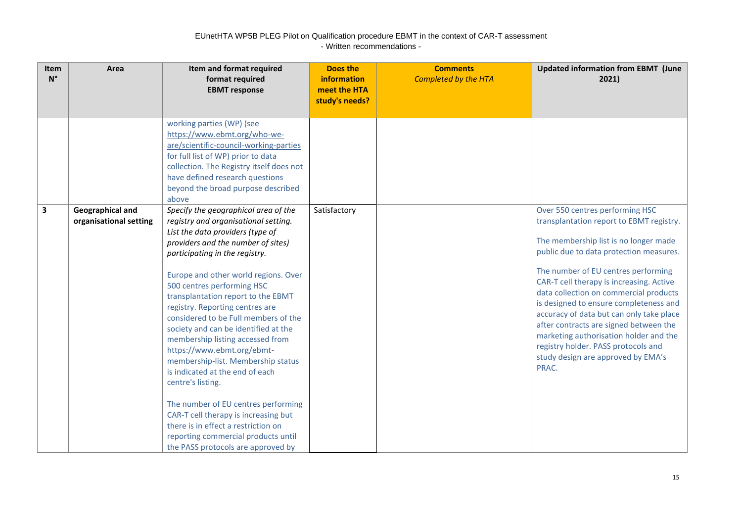| Item<br>$N^{\circ}$ | Area                                              | Item and format required<br>format required<br><b>EBMT</b> response                                                                                                                                                                                                                                                                                                                                                                                                                                                                                                                                                                                                                                                                                                                        | <b>Does the</b><br><b>information</b><br>meet the HTA<br>study's needs? | <b>Comments</b><br><b>Completed by the HTA</b> | <b>Updated information from EBMT (June</b><br>2021)                                                                                                                                                                                                                                                                                                                                                                                                                                                                                                          |
|---------------------|---------------------------------------------------|--------------------------------------------------------------------------------------------------------------------------------------------------------------------------------------------------------------------------------------------------------------------------------------------------------------------------------------------------------------------------------------------------------------------------------------------------------------------------------------------------------------------------------------------------------------------------------------------------------------------------------------------------------------------------------------------------------------------------------------------------------------------------------------------|-------------------------------------------------------------------------|------------------------------------------------|--------------------------------------------------------------------------------------------------------------------------------------------------------------------------------------------------------------------------------------------------------------------------------------------------------------------------------------------------------------------------------------------------------------------------------------------------------------------------------------------------------------------------------------------------------------|
|                     |                                                   | working parties (WP) (see<br>https://www.ebmt.org/who-we-<br>are/scientific-council-working-parties<br>for full list of WP) prior to data<br>collection. The Registry itself does not<br>have defined research questions<br>beyond the broad purpose described<br>above                                                                                                                                                                                                                                                                                                                                                                                                                                                                                                                    |                                                                         |                                                |                                                                                                                                                                                                                                                                                                                                                                                                                                                                                                                                                              |
| 3                   | <b>Geographical and</b><br>organisational setting | Specify the geographical area of the<br>registry and organisational setting.<br>List the data providers (type of<br>providers and the number of sites)<br>participating in the registry.<br>Europe and other world regions. Over<br>500 centres performing HSC<br>transplantation report to the EBMT<br>registry. Reporting centres are<br>considered to be Full members of the<br>society and can be identified at the<br>membership listing accessed from<br>https://www.ebmt.org/ebmt-<br>membership-list. Membership status<br>is indicated at the end of each<br>centre's listing.<br>The number of EU centres performing<br>CAR-T cell therapy is increasing but<br>there is in effect a restriction on<br>reporting commercial products until<br>the PASS protocols are approved by | Satisfactory                                                            |                                                | Over 550 centres performing HSC<br>transplantation report to EBMT registry.<br>The membership list is no longer made<br>public due to data protection measures.<br>The number of EU centres performing<br>CAR-T cell therapy is increasing. Active<br>data collection on commercial products<br>is designed to ensure completeness and<br>accuracy of data but can only take place<br>after contracts are signed between the<br>marketing authorisation holder and the<br>registry holder. PASS protocols and<br>study design are approved by EMA's<br>PRAC. |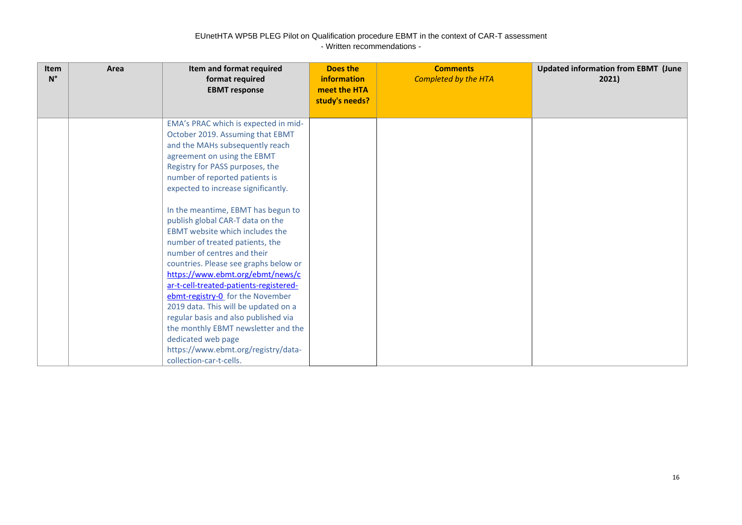| <b>Item</b><br>$N^{\circ}$ | Area | Item and format required<br>format required<br><b>EBMT</b> response                                                                                                                                                                                                                                                                                                                                                                                                                                                                                                                                                                                                                                                     | Does the<br>information<br>meet the HTA<br>study's needs? | <b>Comments</b><br><b>Completed by the HTA</b> | <b>Updated information from EBMT (June</b><br>2021) |
|----------------------------|------|-------------------------------------------------------------------------------------------------------------------------------------------------------------------------------------------------------------------------------------------------------------------------------------------------------------------------------------------------------------------------------------------------------------------------------------------------------------------------------------------------------------------------------------------------------------------------------------------------------------------------------------------------------------------------------------------------------------------------|-----------------------------------------------------------|------------------------------------------------|-----------------------------------------------------|
|                            |      | EMA's PRAC which is expected in mid-<br>October 2019. Assuming that EBMT<br>and the MAHs subsequently reach<br>agreement on using the EBMT<br>Registry for PASS purposes, the<br>number of reported patients is<br>expected to increase significantly.<br>In the meantime, EBMT has begun to<br>publish global CAR-T data on the<br>EBMT website which includes the<br>number of treated patients, the<br>number of centres and their<br>countries. Please see graphs below or<br>https://www.ebmt.org/ebmt/news/c<br>ar-t-cell-treated-patients-registered-<br>ebmt-registry-0 for the November<br>2019 data. This will be updated on a<br>regular basis and also published via<br>the monthly EBMT newsletter and the |                                                           |                                                |                                                     |
|                            |      | dedicated web page<br>https://www.ebmt.org/registry/data-<br>collection-car-t-cells.                                                                                                                                                                                                                                                                                                                                                                                                                                                                                                                                                                                                                                    |                                                           |                                                |                                                     |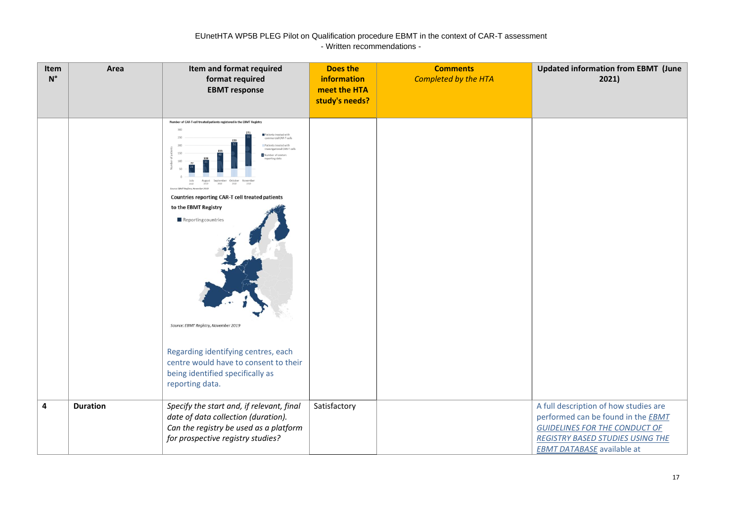| Item<br>$N^{\circ}$ | Area            | Item and format required<br>format required<br><b>EBMT</b> response                                                                                                                                                                                                                                                                                                                                                                                                                        | <b>Does the</b><br>information<br>meet the HTA<br>study's needs? | <b>Comments</b><br><b>Completed by the HTA</b> | <b>Updated information from EBMT (June</b><br>2021)                                                                                                                                                        |
|---------------------|-----------------|--------------------------------------------------------------------------------------------------------------------------------------------------------------------------------------------------------------------------------------------------------------------------------------------------------------------------------------------------------------------------------------------------------------------------------------------------------------------------------------------|------------------------------------------------------------------|------------------------------------------------|------------------------------------------------------------------------------------------------------------------------------------------------------------------------------------------------------------|
|                     |                 | Number of CAR-T cell treated patients registered in the EBMT Registry<br>Patients treated with<br>commercial CAR-T cells<br>ints treated with<br>vestigational CAR-T cells<br>imber of centers<br>October<br>Countries reporting CAR-T cell treated patients<br>to the EBMT Registry<br>Reporting countries<br>Source: EBMT Registry, November 2019<br>Regarding identifying centres, each<br>centre would have to consent to their<br>being identified specifically as<br>reporting data. |                                                                  |                                                |                                                                                                                                                                                                            |
| 4                   | <b>Duration</b> | Specify the start and, if relevant, final<br>date of data collection (duration).<br>Can the registry be used as a platform<br>for prospective registry studies?                                                                                                                                                                                                                                                                                                                            | Satisfactory                                                     |                                                | A full description of how studies are<br>performed can be found in the <b>EBMT</b><br><b>GUIDELINES FOR THE CONDUCT OF</b><br><b>REGISTRY BASED STUDIES USING THE</b><br><b>EBMT DATABASE</b> available at |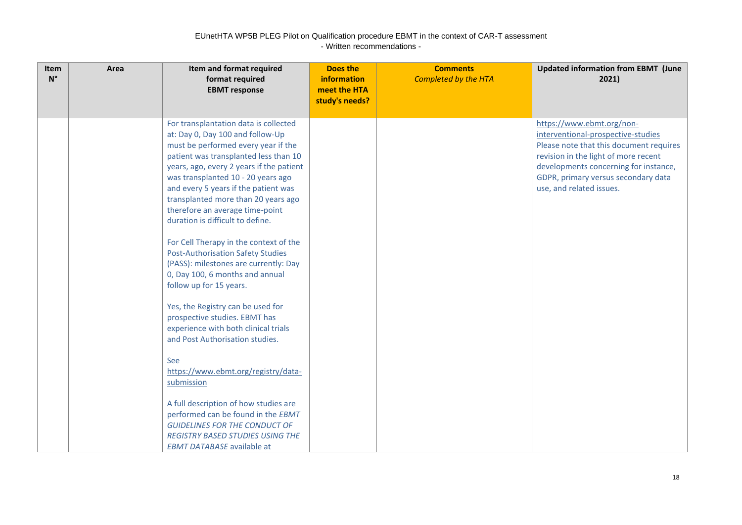| <b>Item</b><br>$N^{\circ}$ | Area | Item and format required<br>format required<br><b>EBMT</b> response                                                                                                                                                                                                                                                                                                                                                                                                                                                                                                                                                                                                                                                                                                                                                                                                                                                                                                                                                       | <b>Does the</b><br>information<br>meet the HTA<br>study's needs? | <b>Comments</b><br><b>Completed by the HTA</b> | <b>Updated information from EBMT (June</b><br>2021)                                                                                                                                                                                                            |
|----------------------------|------|---------------------------------------------------------------------------------------------------------------------------------------------------------------------------------------------------------------------------------------------------------------------------------------------------------------------------------------------------------------------------------------------------------------------------------------------------------------------------------------------------------------------------------------------------------------------------------------------------------------------------------------------------------------------------------------------------------------------------------------------------------------------------------------------------------------------------------------------------------------------------------------------------------------------------------------------------------------------------------------------------------------------------|------------------------------------------------------------------|------------------------------------------------|----------------------------------------------------------------------------------------------------------------------------------------------------------------------------------------------------------------------------------------------------------------|
|                            |      | For transplantation data is collected<br>at: Day 0, Day 100 and follow-Up<br>must be performed every year if the<br>patient was transplanted less than 10<br>years, ago, every 2 years if the patient<br>was transplanted 10 - 20 years ago<br>and every 5 years if the patient was<br>transplanted more than 20 years ago<br>therefore an average time-point<br>duration is difficult to define.<br>For Cell Therapy in the context of the<br><b>Post-Authorisation Safety Studies</b><br>(PASS): milestones are currently: Day<br>0, Day 100, 6 months and annual<br>follow up for 15 years.<br>Yes, the Registry can be used for<br>prospective studies. EBMT has<br>experience with both clinical trials<br>and Post Authorisation studies.<br><b>See</b><br>https://www.ebmt.org/registry/data-<br>submission<br>A full description of how studies are<br>performed can be found in the EBMT<br><b>GUIDELINES FOR THE CONDUCT OF</b><br><b>REGISTRY BASED STUDIES USING THE</b><br><b>EBMT DATABASE available at</b> |                                                                  |                                                | https://www.ebmt.org/non-<br>interventional-prospective-studies<br>Please note that this document requires<br>revision in the light of more recent<br>developments concerning for instance,<br>GDPR, primary versus secondary data<br>use, and related issues. |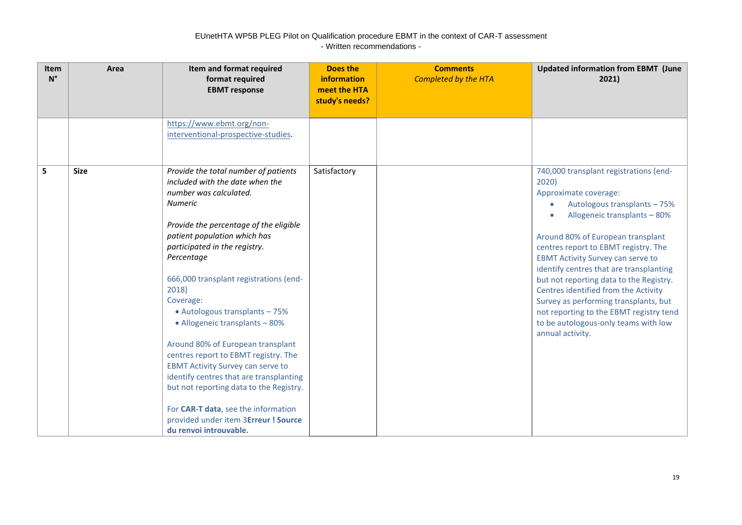| Item<br>$N^{\circ}$ | Area        | Item and format required<br>format required<br><b>EBMT</b> response                                                                                                                                                                                                                                                                                                                                                                                                                                                                                                                                                                                                                                      | Does the<br>information<br>meet the HTA<br>study's needs? | <b>Comments</b><br><b>Completed by the HTA</b> | <b>Updated information from EBMT (June</b><br>2021)                                                                                                                                                                                                                                                                                                                                                                                                                                                                                             |
|---------------------|-------------|----------------------------------------------------------------------------------------------------------------------------------------------------------------------------------------------------------------------------------------------------------------------------------------------------------------------------------------------------------------------------------------------------------------------------------------------------------------------------------------------------------------------------------------------------------------------------------------------------------------------------------------------------------------------------------------------------------|-----------------------------------------------------------|------------------------------------------------|-------------------------------------------------------------------------------------------------------------------------------------------------------------------------------------------------------------------------------------------------------------------------------------------------------------------------------------------------------------------------------------------------------------------------------------------------------------------------------------------------------------------------------------------------|
|                     |             | https://www.ebmt.org/non-<br>interventional-prospective-studies.                                                                                                                                                                                                                                                                                                                                                                                                                                                                                                                                                                                                                                         |                                                           |                                                |                                                                                                                                                                                                                                                                                                                                                                                                                                                                                                                                                 |
| 5                   | <b>Size</b> | Provide the total number of patients<br>included with the date when the<br>number was calculated.<br><b>Numeric</b><br>Provide the percentage of the eligible<br>patient population which has<br>participated in the registry.<br>Percentage<br>666,000 transplant registrations (end-<br>2018)<br>Coverage:<br>• Autologous transplants - 75%<br>• Allogeneic transplants - 80%<br>Around 80% of European transplant<br>centres report to EBMT registry. The<br><b>EBMT Activity Survey can serve to</b><br>identify centres that are transplanting<br>but not reporting data to the Registry.<br>For CAR-T data, see the information<br>provided under item 3Erreur ! Source<br>du renvoi introuvable. | Satisfactory                                              |                                                | 740,000 transplant registrations (end-<br>2020)<br>Approximate coverage:<br>Autologous transplants - 75%<br>Allogeneic transplants - 80%<br>Around 80% of European transplant<br>centres report to EBMT registry. The<br><b>EBMT Activity Survey can serve to</b><br>identify centres that are transplanting<br>but not reporting data to the Registry.<br>Centres identified from the Activity<br>Survey as performing transplants, but<br>not reporting to the EBMT registry tend<br>to be autologous-only teams with low<br>annual activity. |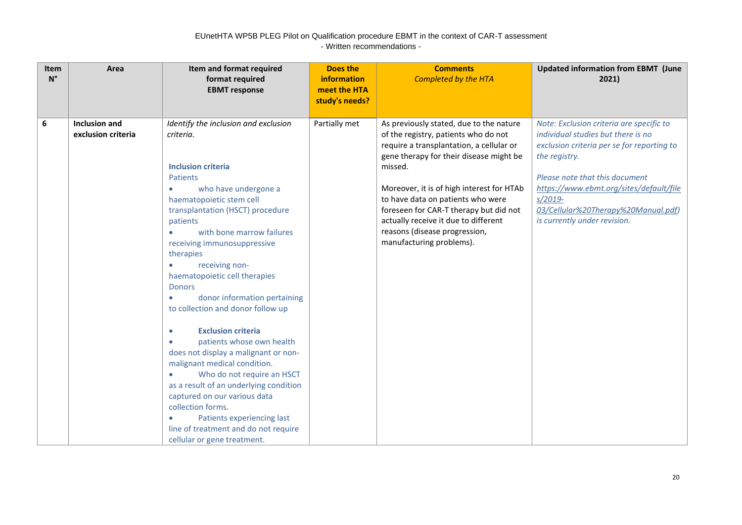| Item<br>$N^{\circ}$ | Area                                       | Item and format required<br>format required<br><b>EBMT</b> response                                                                                                                                                                                                                                                                                                                                                                                                                                                                                                                                                                                                                                                                                                                                                                                                                         | Does the<br>information<br>meet the HTA<br>study's needs? | <b>Comments</b><br><b>Completed by the HTA</b>                                                                                                                                                                                                                                                                                                                                                                     | <b>Updated information from EBMT (June</b><br>2021)                                                                                                                                                                                                                                                            |
|---------------------|--------------------------------------------|---------------------------------------------------------------------------------------------------------------------------------------------------------------------------------------------------------------------------------------------------------------------------------------------------------------------------------------------------------------------------------------------------------------------------------------------------------------------------------------------------------------------------------------------------------------------------------------------------------------------------------------------------------------------------------------------------------------------------------------------------------------------------------------------------------------------------------------------------------------------------------------------|-----------------------------------------------------------|--------------------------------------------------------------------------------------------------------------------------------------------------------------------------------------------------------------------------------------------------------------------------------------------------------------------------------------------------------------------------------------------------------------------|----------------------------------------------------------------------------------------------------------------------------------------------------------------------------------------------------------------------------------------------------------------------------------------------------------------|
| 6                   | <b>Inclusion and</b><br>exclusion criteria | Identify the inclusion and exclusion<br>criteria.<br><b>Inclusion criteria</b><br><b>Patients</b><br>who have undergone a<br>$\bullet$<br>haematopoietic stem cell<br>transplantation (HSCT) procedure<br>patients<br>with bone marrow failures<br>$\bullet$<br>receiving immunosuppressive<br>therapies<br>receiving non-<br>$\bullet$<br>haematopoietic cell therapies<br><b>Donors</b><br>donor information pertaining<br>$\bullet$<br>to collection and donor follow up<br><b>Exclusion criteria</b><br>$\bullet$<br>patients whose own health<br>۰<br>does not display a malignant or non-<br>malignant medical condition.<br>Who do not require an HSCT<br>$\bullet$<br>as a result of an underlying condition<br>captured on our various data<br>collection forms.<br>Patients experiencing last<br>$\bullet$<br>line of treatment and do not require<br>cellular or gene treatment. | Partially met                                             | As previously stated, due to the nature<br>of the registry, patients who do not<br>require a transplantation, a cellular or<br>gene therapy for their disease might be<br>missed.<br>Moreover, it is of high interest for HTAb<br>to have data on patients who were<br>foreseen for CAR-T therapy but did not<br>actually receive it due to different<br>reasons (disease progression,<br>manufacturing problems). | Note: Exclusion criteria are specific to<br>individual studies but there is no<br>exclusion criteria per se for reporting to<br>the registry.<br>Please note that this document<br>https://www.ebmt.org/sites/default/file<br>$s/2019-$<br>03/Cellular%20Therapy%20Manual.pdf)<br>is currently under revision. |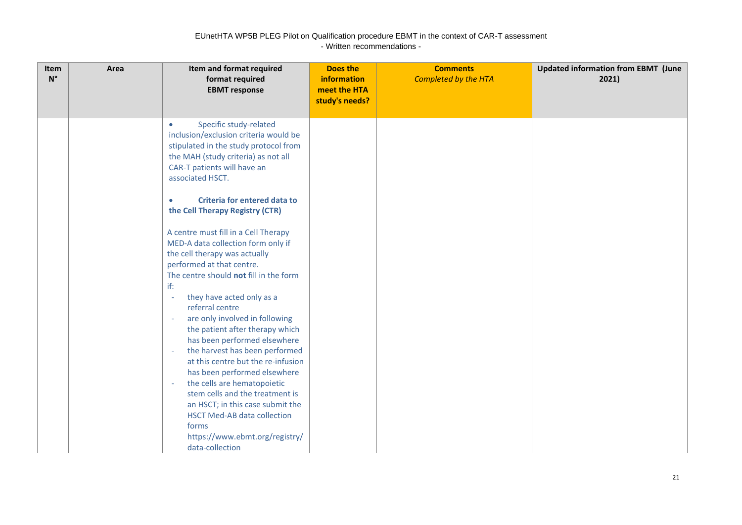| Item<br>$N^{\circ}$ | Area | Item and format required<br>format required<br><b>EBMT</b> response                                                                                                                                                                                                                                                                                                                                                                                                                                                                                    | <b>Does the</b><br><b>information</b><br>meet the HTA<br>study's needs? | <b>Comments</b><br><b>Completed by the HTA</b> | <b>Updated information from EBMT (June</b><br>2021) |
|---------------------|------|--------------------------------------------------------------------------------------------------------------------------------------------------------------------------------------------------------------------------------------------------------------------------------------------------------------------------------------------------------------------------------------------------------------------------------------------------------------------------------------------------------------------------------------------------------|-------------------------------------------------------------------------|------------------------------------------------|-----------------------------------------------------|
|                     |      | Specific study-related<br>$\bullet$<br>inclusion/exclusion criteria would be<br>stipulated in the study protocol from<br>the MAH (study criteria) as not all<br>CAR-T patients will have an<br>associated HSCT.<br>Criteria for entered data to<br>$\bullet$<br>the Cell Therapy Registry (CTR)<br>A centre must fill in a Cell Therapy<br>MED-A data collection form only if<br>the cell therapy was actually<br>performed at that centre.<br>The centre should not fill in the form<br>if:<br>they have acted only as a<br>$\sim$<br>referral centre |                                                                         |                                                |                                                     |
|                     |      | are only involved in following<br>the patient after therapy which<br>has been performed elsewhere<br>the harvest has been performed<br>$\sim$<br>at this centre but the re-infusion<br>has been performed elsewhere<br>the cells are hematopoietic<br>$\overline{\phantom{a}}$<br>stem cells and the treatment is<br>an HSCT; in this case submit the<br><b>HSCT Med-AB data collection</b><br>forms<br>https://www.ebmt.org/registry/<br>data-collection                                                                                              |                                                                         |                                                |                                                     |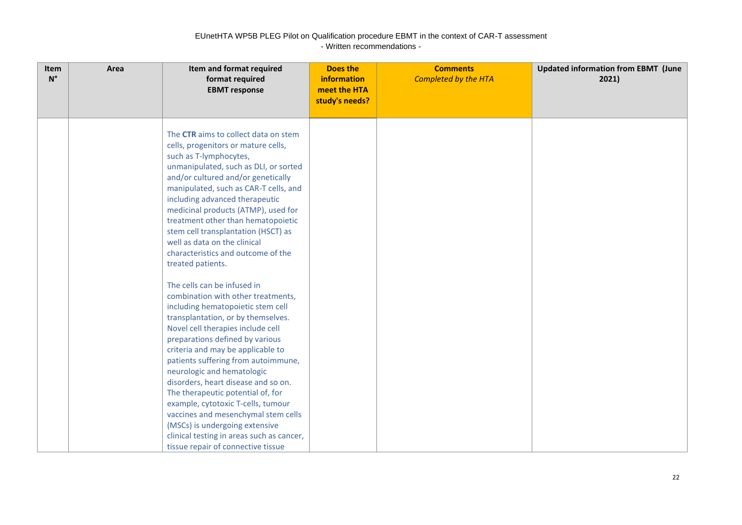| Item<br>$N^{\circ}$ | Area | Item and format required<br>format required<br><b>EBMT</b> response                                                                                                                                                                                                                                                                                                                                                                                                                                                                                                                                                                                                                                                                                                                                                                                                                                                                                                                                                                                                                            | <b>Does the</b><br>information<br>meet the HTA<br>study's needs? | <b>Comments</b><br><b>Completed by the HTA</b> | <b>Updated information from EBMT (June</b><br>2021) |
|---------------------|------|------------------------------------------------------------------------------------------------------------------------------------------------------------------------------------------------------------------------------------------------------------------------------------------------------------------------------------------------------------------------------------------------------------------------------------------------------------------------------------------------------------------------------------------------------------------------------------------------------------------------------------------------------------------------------------------------------------------------------------------------------------------------------------------------------------------------------------------------------------------------------------------------------------------------------------------------------------------------------------------------------------------------------------------------------------------------------------------------|------------------------------------------------------------------|------------------------------------------------|-----------------------------------------------------|
|                     |      | The CTR aims to collect data on stem<br>cells, progenitors or mature cells,<br>such as T-lymphocytes,<br>unmanipulated, such as DLI, or sorted<br>and/or cultured and/or genetically<br>manipulated, such as CAR-T cells, and<br>including advanced therapeutic<br>medicinal products (ATMP), used for<br>treatment other than hematopoietic<br>stem cell transplantation (HSCT) as<br>well as data on the clinical<br>characteristics and outcome of the<br>treated patients.<br>The cells can be infused in<br>combination with other treatments,<br>including hematopoietic stem cell<br>transplantation, or by themselves.<br>Novel cell therapies include cell<br>preparations defined by various<br>criteria and may be applicable to<br>patients suffering from autoimmune,<br>neurologic and hematologic<br>disorders, heart disease and so on.<br>The therapeutic potential of, for<br>example, cytotoxic T-cells, tumour<br>vaccines and mesenchymal stem cells<br>(MSCs) is undergoing extensive<br>clinical testing in areas such as cancer,<br>tissue repair of connective tissue |                                                                  |                                                |                                                     |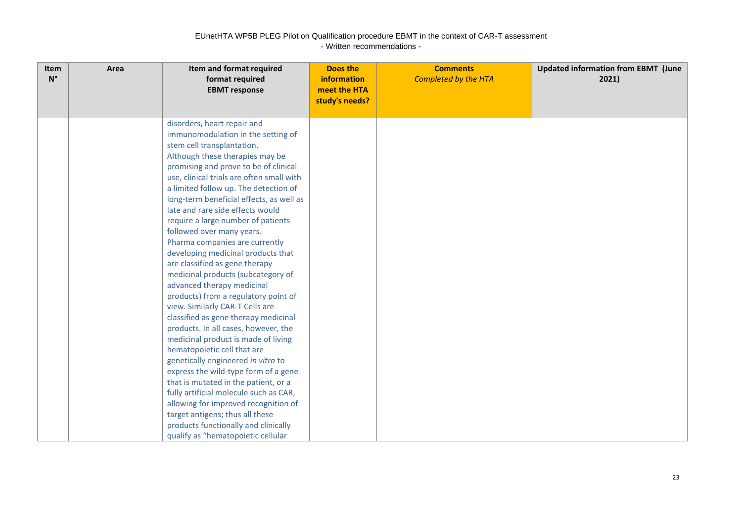| Item<br>$N^{\circ}$ | Area | Item and format required<br>format required<br><b>EBMT</b> response                                                                                                                                                                                                                                                                                                                                                                                                                                                                                                                                                                                                                                                                                                                                                                                                                                                                                                                                                                                                                                                                                          | <b>Does the</b><br>information<br>meet the HTA<br>study's needs? | <b>Comments</b><br><b>Completed by the HTA</b> | <b>Updated information from EBMT (June</b><br>2021) |
|---------------------|------|--------------------------------------------------------------------------------------------------------------------------------------------------------------------------------------------------------------------------------------------------------------------------------------------------------------------------------------------------------------------------------------------------------------------------------------------------------------------------------------------------------------------------------------------------------------------------------------------------------------------------------------------------------------------------------------------------------------------------------------------------------------------------------------------------------------------------------------------------------------------------------------------------------------------------------------------------------------------------------------------------------------------------------------------------------------------------------------------------------------------------------------------------------------|------------------------------------------------------------------|------------------------------------------------|-----------------------------------------------------|
|                     |      | disorders, heart repair and<br>immunomodulation in the setting of<br>stem cell transplantation.<br>Although these therapies may be<br>promising and prove to be of clinical<br>use, clinical trials are often small with<br>a limited follow up. The detection of<br>long-term beneficial effects, as well as<br>late and rare side effects would<br>require a large number of patients<br>followed over many years.<br>Pharma companies are currently<br>developing medicinal products that<br>are classified as gene therapy<br>medicinal products (subcategory of<br>advanced therapy medicinal<br>products) from a regulatory point of<br>view. Similarly CAR-T Cells are<br>classified as gene therapy medicinal<br>products. In all cases, however, the<br>medicinal product is made of living<br>hematopoietic cell that are<br>genetically engineered in vitro to<br>express the wild-type form of a gene<br>that is mutated in the patient, or a<br>fully artificial molecule such as CAR,<br>allowing for improved recognition of<br>target antigens; thus all these<br>products functionally and clinically<br>qualify as "hematopoietic cellular |                                                                  |                                                |                                                     |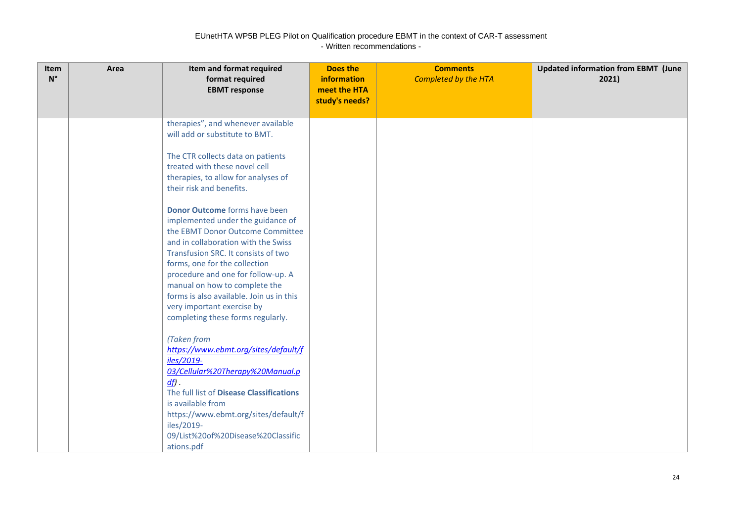| Item<br>$N^{\circ}$ | Area | Item and format required<br>format required<br><b>EBMT</b> response                                                                                                                                                                                                                                                                                                                                                                                                                                                                                                                                                          | Does the<br>information<br>meet the HTA<br>study's needs? | <b>Comments</b><br><b>Completed by the HTA</b> | <b>Updated information from EBMT (June</b><br>2021) |
|---------------------|------|------------------------------------------------------------------------------------------------------------------------------------------------------------------------------------------------------------------------------------------------------------------------------------------------------------------------------------------------------------------------------------------------------------------------------------------------------------------------------------------------------------------------------------------------------------------------------------------------------------------------------|-----------------------------------------------------------|------------------------------------------------|-----------------------------------------------------|
|                     |      | therapies", and whenever available<br>will add or substitute to BMT.<br>The CTR collects data on patients<br>treated with these novel cell<br>therapies, to allow for analyses of<br>their risk and benefits.<br>Donor Outcome forms have been<br>implemented under the guidance of<br>the EBMT Donor Outcome Committee<br>and in collaboration with the Swiss<br>Transfusion SRC. It consists of two<br>forms, one for the collection<br>procedure and one for follow-up. A<br>manual on how to complete the<br>forms is also available. Join us in this<br>very important exercise by<br>completing these forms regularly. |                                                           |                                                |                                                     |
|                     |      | (Taken from<br>https://www.ebmt.org/sites/default/f<br>iles/2019-<br>03/Cellular%20Therapy%20Manual.p<br>$df$ .<br>The full list of Disease Classifications<br>is available from<br>https://www.ebmt.org/sites/default/f<br>iles/2019-<br>09/List%20of%20Disease%20Classific<br>ations.pdf                                                                                                                                                                                                                                                                                                                                   |                                                           |                                                |                                                     |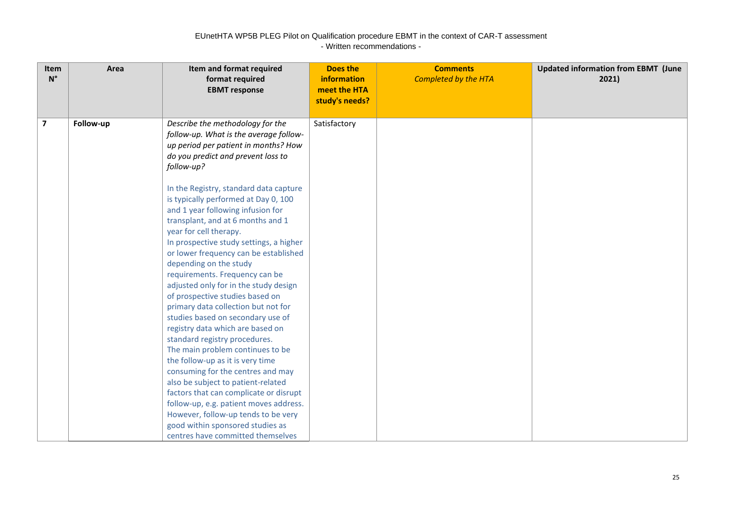| Item<br>$N^{\circ}$ | Area      | Item and format required<br>format required<br><b>EBMT</b> response                                                                                                                                                                                                                                                                                                                                                                                                                                                                                                                                                                                                                                                                                                                                                                                                                                                    | <b>Does the</b><br><b>information</b><br>meet the HTA<br>study's needs? | <b>Comments</b><br><b>Completed by the HTA</b> | <b>Updated information from EBMT (June</b><br>2021) |
|---------------------|-----------|------------------------------------------------------------------------------------------------------------------------------------------------------------------------------------------------------------------------------------------------------------------------------------------------------------------------------------------------------------------------------------------------------------------------------------------------------------------------------------------------------------------------------------------------------------------------------------------------------------------------------------------------------------------------------------------------------------------------------------------------------------------------------------------------------------------------------------------------------------------------------------------------------------------------|-------------------------------------------------------------------------|------------------------------------------------|-----------------------------------------------------|
| $\overline{7}$      | Follow-up | Describe the methodology for the<br>follow-up. What is the average follow-<br>up period per patient in months? How<br>do you predict and prevent loss to<br>follow-up?                                                                                                                                                                                                                                                                                                                                                                                                                                                                                                                                                                                                                                                                                                                                                 | Satisfactory                                                            |                                                |                                                     |
|                     |           | In the Registry, standard data capture<br>is typically performed at Day 0, 100<br>and 1 year following infusion for<br>transplant, and at 6 months and 1<br>year for cell therapy.<br>In prospective study settings, a higher<br>or lower frequency can be established<br>depending on the study<br>requirements. Frequency can be<br>adjusted only for in the study design<br>of prospective studies based on<br>primary data collection but not for<br>studies based on secondary use of<br>registry data which are based on<br>standard registry procedures.<br>The main problem continues to be<br>the follow-up as it is very time<br>consuming for the centres and may<br>also be subject to patient-related<br>factors that can complicate or disrupt<br>follow-up, e.g. patient moves address.<br>However, follow-up tends to be very<br>good within sponsored studies as<br>centres have committed themselves |                                                                         |                                                |                                                     |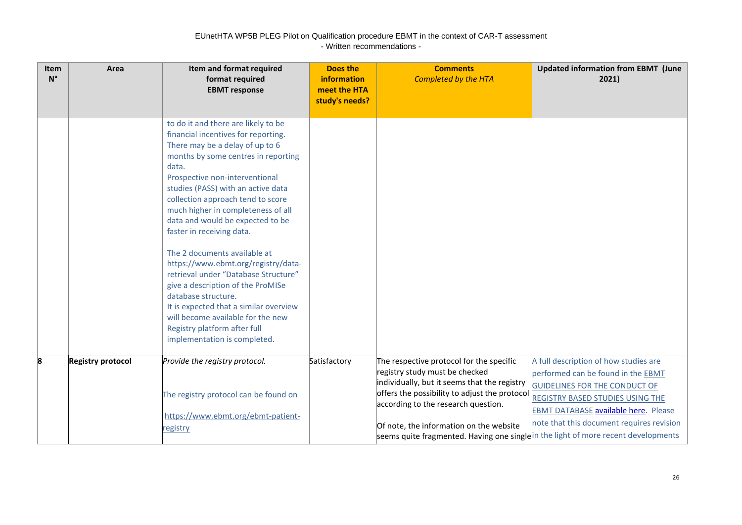| Item<br>$N^{\circ}$ | Area                     | Item and format required<br>format required<br><b>EBMT</b> response                                                                                                                                                                                                                                                                                                                                                                                                                                                                                                                                                                                                                                         | <b>Does the</b><br><b>information</b><br>meet the HTA<br>study's needs? | <b>Comments</b><br><b>Completed by the HTA</b>                                                                                                                                                                                                                                                                                                     | <b>Updated information from EBMT (June</b><br>2021)                                                                                                                                                                                                        |
|---------------------|--------------------------|-------------------------------------------------------------------------------------------------------------------------------------------------------------------------------------------------------------------------------------------------------------------------------------------------------------------------------------------------------------------------------------------------------------------------------------------------------------------------------------------------------------------------------------------------------------------------------------------------------------------------------------------------------------------------------------------------------------|-------------------------------------------------------------------------|----------------------------------------------------------------------------------------------------------------------------------------------------------------------------------------------------------------------------------------------------------------------------------------------------------------------------------------------------|------------------------------------------------------------------------------------------------------------------------------------------------------------------------------------------------------------------------------------------------------------|
|                     |                          | to do it and there are likely to be<br>financial incentives for reporting.<br>There may be a delay of up to 6<br>months by some centres in reporting<br>data.<br>Prospective non-interventional<br>studies (PASS) with an active data<br>collection approach tend to score<br>much higher in completeness of all<br>data and would be expected to be<br>faster in receiving data.<br>The 2 documents available at<br>https://www.ebmt.org/registry/data-<br>retrieval under "Database Structure"<br>give a description of the ProMISe<br>database structure.<br>It is expected that a similar overview<br>will become available for the new<br>Registry platform after full<br>implementation is completed. |                                                                         |                                                                                                                                                                                                                                                                                                                                                    |                                                                                                                                                                                                                                                            |
| 8                   | <b>Registry protocol</b> | Provide the registry protocol.<br>The registry protocol can be found on<br>https://www.ebmt.org/ebmt-patient-<br><u>registry</u>                                                                                                                                                                                                                                                                                                                                                                                                                                                                                                                                                                            | Satisfactory                                                            | The respective protocol for the specific<br>registry study must be checked<br>individually, but it seems that the registry<br>offers the possibility to adjust the protocol<br>according to the research question.<br>Of note, the information on the website<br>seems quite fragmented. Having one singlein the light of more recent developments | A full description of how studies are<br>performed can be found in the EBMT<br><b>GUIDELINES FOR THE CONDUCT OF</b><br><b>REGISTRY BASED STUDIES USING THE</b><br><b>EBMT DATABASE available here.</b> Please<br>note that this document requires revision |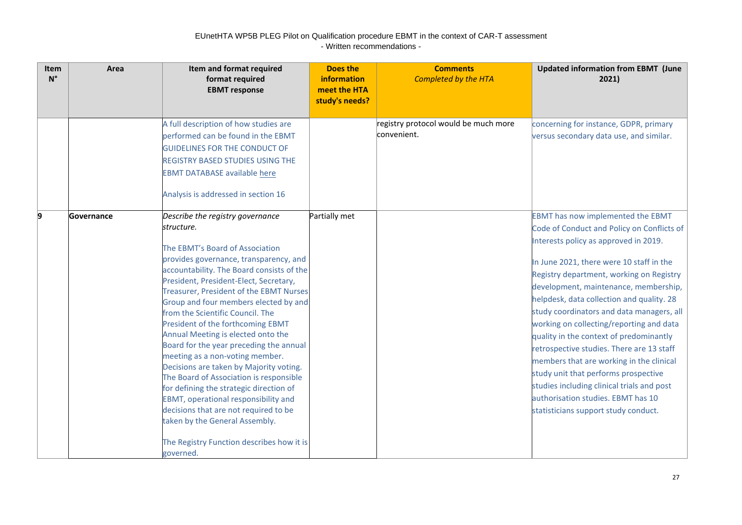| <b>Item</b><br>$N^{\circ}$ | Area       | Item and format required<br>format required<br><b>EBMT</b> response                                                                                                                                                                                                                                                                                                                                                                                                                                                                                                                                                                                                                                                                                                                                                      | Does the<br>information<br>meet the HTA<br>study's needs? | <b>Comments</b><br><b>Completed by the HTA</b>      | <b>Updated information from EBMT (June</b><br>2021)                                                                                                                                                                                                                                                                                                                                                                                                                                                                                                                                                                                                                                                            |
|----------------------------|------------|--------------------------------------------------------------------------------------------------------------------------------------------------------------------------------------------------------------------------------------------------------------------------------------------------------------------------------------------------------------------------------------------------------------------------------------------------------------------------------------------------------------------------------------------------------------------------------------------------------------------------------------------------------------------------------------------------------------------------------------------------------------------------------------------------------------------------|-----------------------------------------------------------|-----------------------------------------------------|----------------------------------------------------------------------------------------------------------------------------------------------------------------------------------------------------------------------------------------------------------------------------------------------------------------------------------------------------------------------------------------------------------------------------------------------------------------------------------------------------------------------------------------------------------------------------------------------------------------------------------------------------------------------------------------------------------------|
|                            |            | A full description of how studies are<br>performed can be found in the EBMT<br><b>GUIDELINES FOR THE CONDUCT OF</b><br><b>REGISTRY BASED STUDIES USING THE</b><br><b>EBMT DATABASE available here</b><br>Analysis is addressed in section 16                                                                                                                                                                                                                                                                                                                                                                                                                                                                                                                                                                             |                                                           | registry protocol would be much more<br>convenient. | concerning for instance, GDPR, primary<br>versus secondary data use, and similar.                                                                                                                                                                                                                                                                                                                                                                                                                                                                                                                                                                                                                              |
| 9                          | Governance | Describe the registry governance<br>structure.<br>The EBMT's Board of Association<br>provides governance, transparency, and<br>accountability. The Board consists of the<br>President, President-Elect, Secretary,<br><b>Treasurer, President of the EBMT Nurses</b><br>Group and four members elected by and<br>from the Scientific Council. The<br>President of the forthcoming EBMT<br>Annual Meeting is elected onto the<br>Board for the year preceding the annual<br>meeting as a non-voting member.<br>Decisions are taken by Majority voting.<br>The Board of Association is responsible<br>for defining the strategic direction of<br>EBMT, operational responsibility and<br>decisions that are not required to be<br>taken by the General Assembly.<br>The Registry Function describes how it is<br>governed. | Partially met                                             |                                                     | <b>EBMT</b> has now implemented the EBMT<br>Code of Conduct and Policy on Conflicts of<br>Interests policy as approved in 2019.<br>In June 2021, there were 10 staff in the<br>Registry department, working on Registry<br>development, maintenance, membership,<br>helpdesk, data collection and quality. 28<br>study coordinators and data managers, all<br>working on collecting/reporting and data<br>quality in the context of predominantly<br>retrospective studies. There are 13 staff<br>members that are working in the clinical<br>study unit that performs prospective<br>studies including clinical trials and post<br>authorisation studies. EBMT has 10<br>statisticians support study conduct. |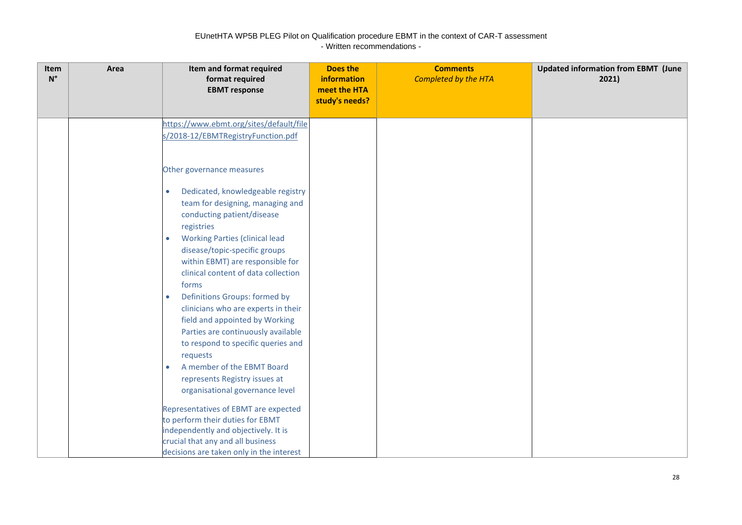| meet the HTA<br><b>EBMT</b> response<br>study's needs?<br>https://www.ebmt.org/sites/default/file<br>s/2018-12/EBMTRegistryFunction.pdf<br>Other governance measures                                                                                                                                                                                                                                                                                                                                                                                        |  |
|-------------------------------------------------------------------------------------------------------------------------------------------------------------------------------------------------------------------------------------------------------------------------------------------------------------------------------------------------------------------------------------------------------------------------------------------------------------------------------------------------------------------------------------------------------------|--|
|                                                                                                                                                                                                                                                                                                                                                                                                                                                                                                                                                             |  |
|                                                                                                                                                                                                                                                                                                                                                                                                                                                                                                                                                             |  |
|                                                                                                                                                                                                                                                                                                                                                                                                                                                                                                                                                             |  |
|                                                                                                                                                                                                                                                                                                                                                                                                                                                                                                                                                             |  |
| Dedicated, knowledgeable registry<br>$\bullet$<br>team for designing, managing and<br>conducting patient/disease<br>registries<br><b>Working Parties (clinical lead</b><br>$\bullet$<br>disease/topic-specific groups<br>within EBMT) are responsible for<br>clinical content of data collection<br>forms<br>Definitions Groups: formed by<br>$\bullet$<br>clinicians who are experts in their<br>field and appointed by Working<br>Parties are continuously available<br>to respond to specific queries and<br>requests<br>A member of the EBMT Board<br>۰ |  |
| represents Registry issues at<br>organisational governance level                                                                                                                                                                                                                                                                                                                                                                                                                                                                                            |  |
| Representatives of EBMT are expected                                                                                                                                                                                                                                                                                                                                                                                                                                                                                                                        |  |
| to perform their duties for EBMT                                                                                                                                                                                                                                                                                                                                                                                                                                                                                                                            |  |
| independently and objectively. It is                                                                                                                                                                                                                                                                                                                                                                                                                                                                                                                        |  |
| crucial that any and all business<br>decisions are taken only in the interest                                                                                                                                                                                                                                                                                                                                                                                                                                                                               |  |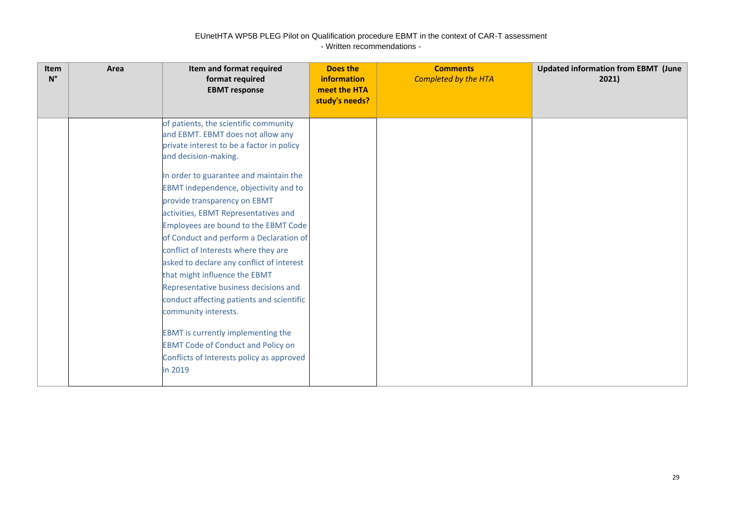| <b>Item</b><br>$N^{\circ}$ | Area | Item and format required<br>format required<br><b>EBMT</b> response                                                                                                                                                                                                                                                                                                                                                                                                                                                                                                                                                                                                                                                                                                          | Does the<br>information<br>meet the HTA<br>study's needs? | <b>Comments</b><br><b>Completed by the HTA</b> | <b>Updated information from EBMT (June</b><br>2021) |
|----------------------------|------|------------------------------------------------------------------------------------------------------------------------------------------------------------------------------------------------------------------------------------------------------------------------------------------------------------------------------------------------------------------------------------------------------------------------------------------------------------------------------------------------------------------------------------------------------------------------------------------------------------------------------------------------------------------------------------------------------------------------------------------------------------------------------|-----------------------------------------------------------|------------------------------------------------|-----------------------------------------------------|
|                            |      | of patients, the scientific community<br>and EBMT. EBMT does not allow any<br>private interest to be a factor in policy<br>and decision-making.<br>In order to guarantee and maintain the<br>EBMT independence, objectivity and to<br>provide transparency on EBMT<br>activities, EBMT Representatives and<br>Employees are bound to the EBMT Code<br>of Conduct and perform a Declaration of<br>conflict of Interests where they are<br>asked to declare any conflict of interest<br>that might influence the EBMT<br>Representative business decisions and<br>conduct affecting patients and scientific<br>community interests.<br>EBMT is currently implementing the<br><b>EBMT Code of Conduct and Policy on</b><br>Conflicts of Interests policy as approved<br>in 2019 |                                                           |                                                |                                                     |
|                            |      |                                                                                                                                                                                                                                                                                                                                                                                                                                                                                                                                                                                                                                                                                                                                                                              |                                                           |                                                |                                                     |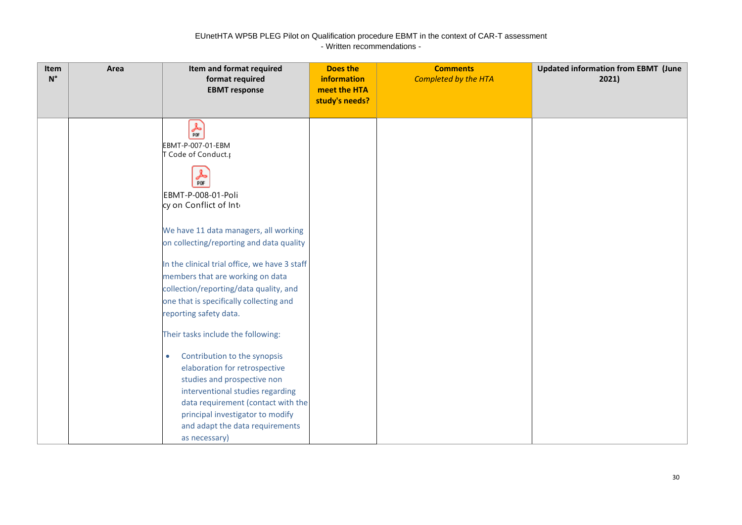| Item<br>$\mathsf{N}^\circ$ | Area | Item and format required<br>format required<br><b>EBMT</b> response                                                                                                                                                                                                                                                                                                                                                                                                                                                                                                                                                                                                                                                    | <b>Does the</b><br>information<br>meet the HTA<br>study's needs? | <b>Comments</b><br><b>Completed by the HTA</b> | <b>Updated information from EBMT (June</b><br>2021) |
|----------------------------|------|------------------------------------------------------------------------------------------------------------------------------------------------------------------------------------------------------------------------------------------------------------------------------------------------------------------------------------------------------------------------------------------------------------------------------------------------------------------------------------------------------------------------------------------------------------------------------------------------------------------------------------------------------------------------------------------------------------------------|------------------------------------------------------------------|------------------------------------------------|-----------------------------------------------------|
|                            |      | 斋<br>EBMT-P-007-01-EBM<br>T Code of Conduct.<br>┻<br>PDF<br>EBMT-P-008-01-Poli<br>cy on Conflict of Inte<br>We have 11 data managers, all working<br>on collecting/reporting and data quality<br>In the clinical trial office, we have 3 staff<br>members that are working on data<br>collection/reporting/data quality, and<br>one that is specifically collecting and<br>reporting safety data.<br>Their tasks include the following:<br>Contribution to the synopsis<br>$\bullet$<br>elaboration for retrospective<br>studies and prospective non<br>interventional studies regarding<br>data requirement (contact with the<br>principal investigator to modify<br>and adapt the data requirements<br>as necessary) |                                                                  |                                                |                                                     |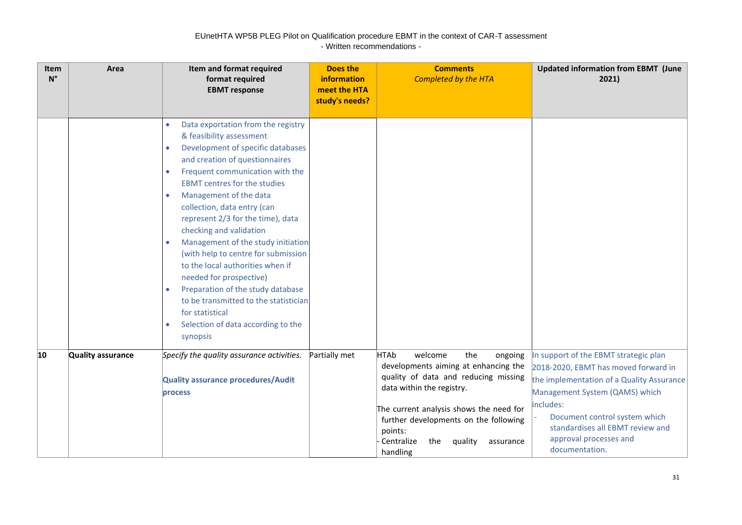| Item<br>$N^{\circ}$ | Area              | Item and format required<br>format required<br><b>EBMT</b> response                                                                                                                                                                                                                                                                                                                                                                                                                                                                                                                                                                                                                                      | <b>Does the</b><br>information<br>meet the HTA<br>study's needs? | <b>Comments</b><br><b>Completed by the HTA</b>                                                                                                                                                                                                                                                                | <b>Updated information from EBMT (June</b><br>2021)                                                                                                                                                                                                                                        |
|---------------------|-------------------|----------------------------------------------------------------------------------------------------------------------------------------------------------------------------------------------------------------------------------------------------------------------------------------------------------------------------------------------------------------------------------------------------------------------------------------------------------------------------------------------------------------------------------------------------------------------------------------------------------------------------------------------------------------------------------------------------------|------------------------------------------------------------------|---------------------------------------------------------------------------------------------------------------------------------------------------------------------------------------------------------------------------------------------------------------------------------------------------------------|--------------------------------------------------------------------------------------------------------------------------------------------------------------------------------------------------------------------------------------------------------------------------------------------|
|                     |                   | Data exportation from the registry<br>$\bullet$<br>& feasibility assessment<br>Development of specific databases<br>$\bullet$<br>and creation of questionnaires<br>Frequent communication with the<br>$\bullet$<br><b>EBMT</b> centres for the studies<br>Management of the data<br>$\bullet$<br>collection, data entry (can<br>represent 2/3 for the time), data<br>checking and validation<br>Management of the study initiation<br>(with help to centre for submission<br>to the local authorities when if<br>needed for prospective)<br>Preparation of the study database<br>to be transmitted to the statistician<br>for statistical<br>Selection of data according to the<br>$\bullet$<br>synopsis |                                                                  |                                                                                                                                                                                                                                                                                                               |                                                                                                                                                                                                                                                                                            |
| 10                  | Quality assurance | Specify the quality assurance activities.<br><b>Quality assurance procedures/Audit</b><br>process                                                                                                                                                                                                                                                                                                                                                                                                                                                                                                                                                                                                        | Partially met                                                    | <b>HTAb</b><br>welcome<br>the<br>ongoing<br>developments aiming at enhancing the<br>quality of data and reducing missing<br>data within the registry.<br>The current analysis shows the need for<br>further developments on the following<br>points:<br>Centralize<br>the<br>quality<br>assurance<br>handling | In support of the EBMT strategic plan<br>2018-2020, EBMT has moved forward in<br>the implementation of a Quality Assurance<br>Management System (QAMS) which<br>includes:<br>Document control system which<br>standardises all EBMT review and<br>approval processes and<br>documentation. |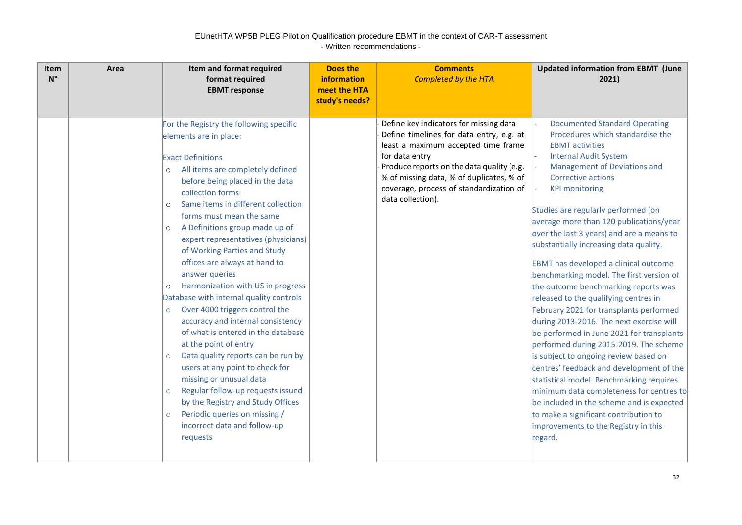| <b>Item</b><br>$N^{\circ}$ | Area | Item and format required<br>format required<br><b>EBMT</b> response                                                                                                                                                                                                                                                                                                                                                                                                                                                                                                                                                                                                                                                                                                                                                                                                                                                                                                                             | <b>Does the</b><br>information<br>meet the HTA<br>study's needs? | <b>Comments</b><br><b>Completed by the HTA</b>                                                                                                                                                                                                                                                       | <b>Updated information from EBMT (June</b><br>2021)                                                                                                                                                                                                                                                                                                                                                                                                                                                                                                                                                                                                                                                                                                                                                                                                                                                                                                                                                                                                                         |
|----------------------------|------|-------------------------------------------------------------------------------------------------------------------------------------------------------------------------------------------------------------------------------------------------------------------------------------------------------------------------------------------------------------------------------------------------------------------------------------------------------------------------------------------------------------------------------------------------------------------------------------------------------------------------------------------------------------------------------------------------------------------------------------------------------------------------------------------------------------------------------------------------------------------------------------------------------------------------------------------------------------------------------------------------|------------------------------------------------------------------|------------------------------------------------------------------------------------------------------------------------------------------------------------------------------------------------------------------------------------------------------------------------------------------------------|-----------------------------------------------------------------------------------------------------------------------------------------------------------------------------------------------------------------------------------------------------------------------------------------------------------------------------------------------------------------------------------------------------------------------------------------------------------------------------------------------------------------------------------------------------------------------------------------------------------------------------------------------------------------------------------------------------------------------------------------------------------------------------------------------------------------------------------------------------------------------------------------------------------------------------------------------------------------------------------------------------------------------------------------------------------------------------|
|                            |      | For the Registry the following specific<br>elements are in place:<br><b>Exact Definitions</b><br>All items are completely defined<br>$\circ$<br>before being placed in the data<br>collection forms<br>Same items in different collection<br>$\circ$<br>forms must mean the same<br>A Definitions group made up of<br>$\circ$<br>expert representatives (physicians)<br>of Working Parties and Study<br>offices are always at hand to<br>answer queries<br>Harmonization with US in progress<br>$\circ$<br>Database with internal quality controls<br>Over 4000 triggers control the<br>$\circ$<br>accuracy and internal consistency<br>of what is entered in the database<br>at the point of entry<br>Data quality reports can be run by<br>$\circ$<br>users at any point to check for<br>missing or unusual data<br>Regular follow-up requests issued<br>$\circ$<br>by the Registry and Study Offices<br>Periodic queries on missing /<br>$\circ$<br>incorrect data and follow-up<br>requests |                                                                  | Define key indicators for missing data<br>Define timelines for data entry, e.g. at<br>least a maximum accepted time frame<br>for data entry<br>Produce reports on the data quality (e.g.<br>% of missing data, % of duplicates, % of<br>coverage, process of standardization of<br>data collection). | <b>Documented Standard Operating</b><br>Procedures which standardise the<br><b>EBMT</b> activities<br><b>Internal Audit System</b><br>Management of Deviations and<br>Corrective actions<br><b>KPI monitoring</b><br>Studies are regularly performed (on<br>average more than 120 publications/year<br>over the last 3 years) and are a means to<br>substantially increasing data quality.<br><b>EBMT</b> has developed a clinical outcome<br>benchmarking model. The first version of<br>the outcome benchmarking reports was<br>released to the qualifying centres in<br>February 2021 for transplants performed<br>during 2013-2016. The next exercise will<br>be performed in June 2021 for transplants<br>performed during 2015-2019. The scheme<br>is subject to ongoing review based on<br>centres' feedback and development of the<br>statistical model. Benchmarking requires<br>minimum data completeness for centres to<br>be included in the scheme and is expected<br>to make a significant contribution to<br>improvements to the Registry in this<br>regard. |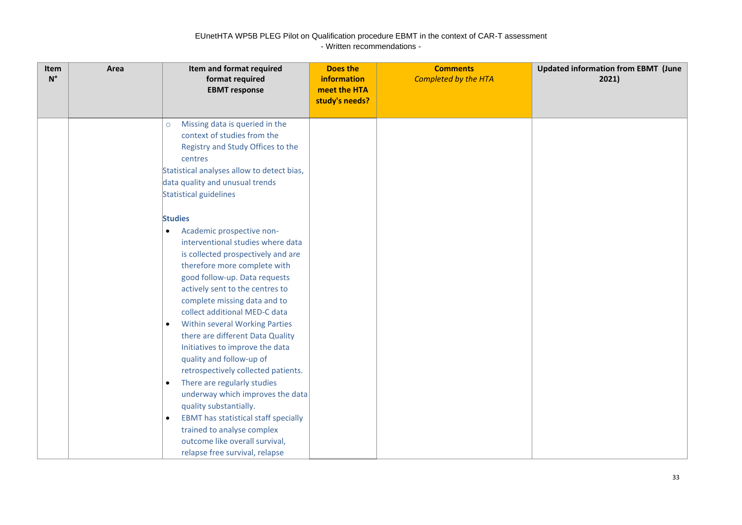| Item<br>$N^{\circ}$ | Area | Item and format required<br>format required<br><b>EBMT</b> response                                                                                                                                                                                                                                                                                                                                                                                                                                                                                                                                                                                                                                                                                                              | <b>Does the</b><br><b>information</b><br>meet the HTA<br>study's needs? | <b>Comments</b><br><b>Completed by the HTA</b> | <b>Updated information from EBMT (June</b><br>2021) |
|---------------------|------|----------------------------------------------------------------------------------------------------------------------------------------------------------------------------------------------------------------------------------------------------------------------------------------------------------------------------------------------------------------------------------------------------------------------------------------------------------------------------------------------------------------------------------------------------------------------------------------------------------------------------------------------------------------------------------------------------------------------------------------------------------------------------------|-------------------------------------------------------------------------|------------------------------------------------|-----------------------------------------------------|
|                     |      | Missing data is queried in the<br>$\circ$<br>context of studies from the<br>Registry and Study Offices to the<br>centres<br>Statistical analyses allow to detect bias,<br>data quality and unusual trends<br>Statistical guidelines                                                                                                                                                                                                                                                                                                                                                                                                                                                                                                                                              |                                                                         |                                                |                                                     |
|                     |      | <b>Studies</b><br>Academic prospective non-<br>$\bullet$<br>interventional studies where data<br>is collected prospectively and are<br>therefore more complete with<br>good follow-up. Data requests<br>actively sent to the centres to<br>complete missing data and to<br>collect additional MED-C data<br><b>Within several Working Parties</b><br>$\bullet$<br>there are different Data Quality<br>Initiatives to improve the data<br>quality and follow-up of<br>retrospectively collected patients.<br>There are regularly studies<br>$\bullet$<br>underway which improves the data<br>quality substantially.<br><b>EBMT</b> has statistical staff specially<br>$\bullet$<br>trained to analyse complex<br>outcome like overall survival,<br>relapse free survival, relapse |                                                                         |                                                |                                                     |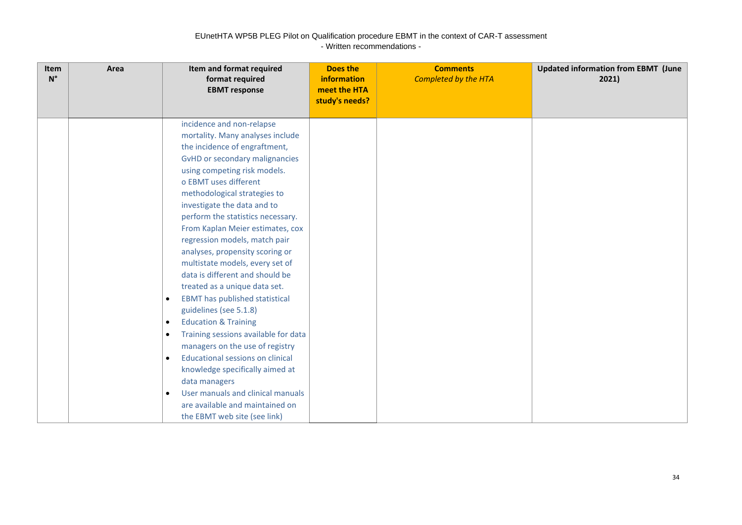| Item<br>$N^{\circ}$ | Area | Item and format required<br>format required<br><b>EBMT</b> response                                                                                                                                                                                                                                                                                                                                                                                                                                                                                                                                                                                                                                                                                                                                                                                                                                                                                           | <b>Does the</b><br>information<br>meet the HTA<br>study's needs? | <b>Comments</b><br><b>Completed by the HTA</b> | <b>Updated information from EBMT (June</b><br>2021) |
|---------------------|------|---------------------------------------------------------------------------------------------------------------------------------------------------------------------------------------------------------------------------------------------------------------------------------------------------------------------------------------------------------------------------------------------------------------------------------------------------------------------------------------------------------------------------------------------------------------------------------------------------------------------------------------------------------------------------------------------------------------------------------------------------------------------------------------------------------------------------------------------------------------------------------------------------------------------------------------------------------------|------------------------------------------------------------------|------------------------------------------------|-----------------------------------------------------|
|                     |      | incidence and non-relapse<br>mortality. Many analyses include<br>the incidence of engraftment,<br>GvHD or secondary malignancies<br>using competing risk models.<br>o EBMT uses different<br>methodological strategies to<br>investigate the data and to<br>perform the statistics necessary.<br>From Kaplan Meier estimates, cox<br>regression models, match pair<br>analyses, propensity scoring or<br>multistate models, every set of<br>data is different and should be<br>treated as a unique data set.<br><b>EBMT</b> has published statistical<br>$\bullet$<br>guidelines (see 5.1.8)<br><b>Education &amp; Training</b><br>$\bullet$<br>Training sessions available for data<br>٠<br>managers on the use of registry<br><b>Educational sessions on clinical</b><br>$\bullet$<br>knowledge specifically aimed at<br>data managers<br>User manuals and clinical manuals<br>$\bullet$<br>are available and maintained on<br>the EBMT web site (see link) |                                                                  |                                                |                                                     |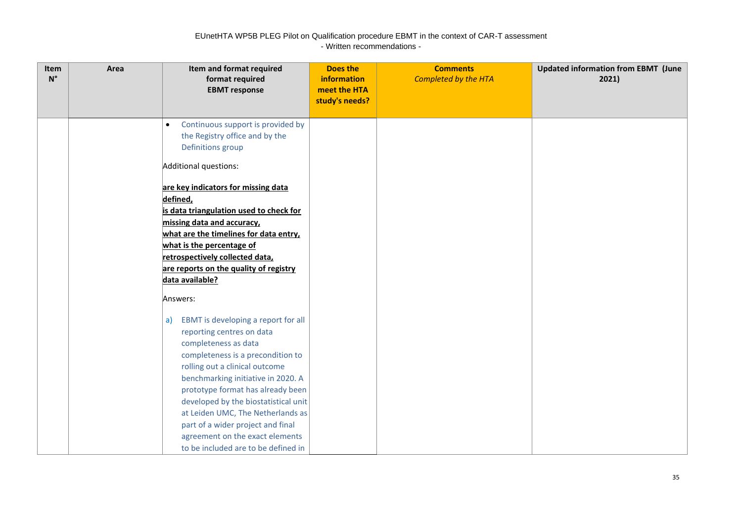| Item<br>$N^{\circ}$ | Area | Item and format required<br>format required<br><b>EBMT</b> response                                                                                                                                                                                                                                                                                                                                                                                      | <b>Does the</b><br>information<br>meet the HTA<br>study's needs? | <b>Comments</b><br><b>Completed by the HTA</b> | <b>Updated information from EBMT (June</b><br>2021) |
|---------------------|------|----------------------------------------------------------------------------------------------------------------------------------------------------------------------------------------------------------------------------------------------------------------------------------------------------------------------------------------------------------------------------------------------------------------------------------------------------------|------------------------------------------------------------------|------------------------------------------------|-----------------------------------------------------|
|                     |      | Continuous support is provided by<br>$\bullet$<br>the Registry office and by the<br>Definitions group                                                                                                                                                                                                                                                                                                                                                    |                                                                  |                                                |                                                     |
|                     |      | Additional questions:<br>are key indicators for missing data<br>defined,<br>is data triangulation used to check for<br>missing data and accuracy,<br>what are the timelines for data entry,<br>what is the percentage of<br>retrospectively collected data,<br>are reports on the quality of registry<br>data available?                                                                                                                                 |                                                                  |                                                |                                                     |
|                     |      | Answers:<br>EBMT is developing a report for all<br>a)<br>reporting centres on data<br>completeness as data<br>completeness is a precondition to<br>rolling out a clinical outcome<br>benchmarking initiative in 2020. A<br>prototype format has already been<br>developed by the biostatistical unit<br>at Leiden UMC, The Netherlands as<br>part of a wider project and final<br>agreement on the exact elements<br>to be included are to be defined in |                                                                  |                                                |                                                     |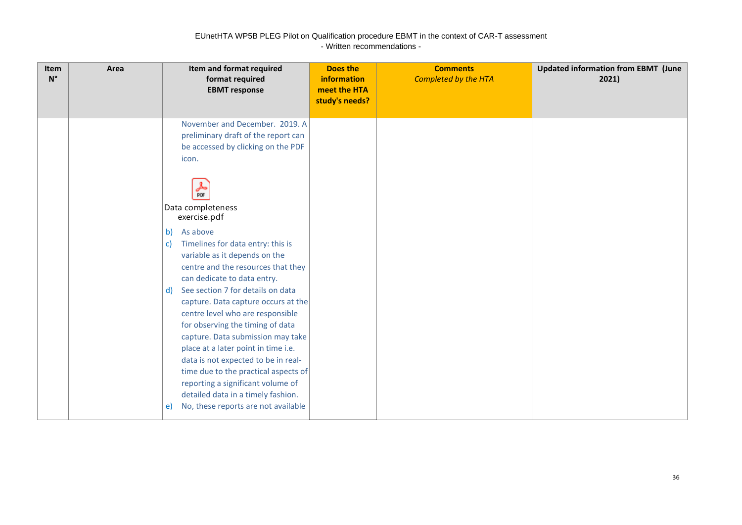| Item<br>$\mathsf{N}^\circ$ | Area | Item and format required<br>format required<br><b>EBMT</b> response                                                                                                                                                                                                                                                                                                                                                                                                                                                                                                                                                                                                                                                                                                                                    | <b>Does the</b><br><b>information</b><br>meet the HTA<br>study's needs? | <b>Comments</b><br><b>Completed by the HTA</b> | <b>Updated information from EBMT (June</b><br>2021) |
|----------------------------|------|--------------------------------------------------------------------------------------------------------------------------------------------------------------------------------------------------------------------------------------------------------------------------------------------------------------------------------------------------------------------------------------------------------------------------------------------------------------------------------------------------------------------------------------------------------------------------------------------------------------------------------------------------------------------------------------------------------------------------------------------------------------------------------------------------------|-------------------------------------------------------------------------|------------------------------------------------|-----------------------------------------------------|
|                            |      | November and December. 2019. A<br>preliminary draft of the report can<br>be accessed by clicking on the PDF<br>icon.<br>£<br><b>PDF</b><br>Data completeness<br>exercise.pdf<br>As above<br>b)<br>Timelines for data entry: this is<br>c)<br>variable as it depends on the<br>centre and the resources that they<br>can dedicate to data entry.<br>See section 7 for details on data<br>$\mathsf{d}$<br>capture. Data capture occurs at the<br>centre level who are responsible<br>for observing the timing of data<br>capture. Data submission may take<br>place at a later point in time i.e.<br>data is not expected to be in real-<br>time due to the practical aspects of<br>reporting a significant volume of<br>detailed data in a timely fashion.<br>No, these reports are not available<br>e) |                                                                         |                                                |                                                     |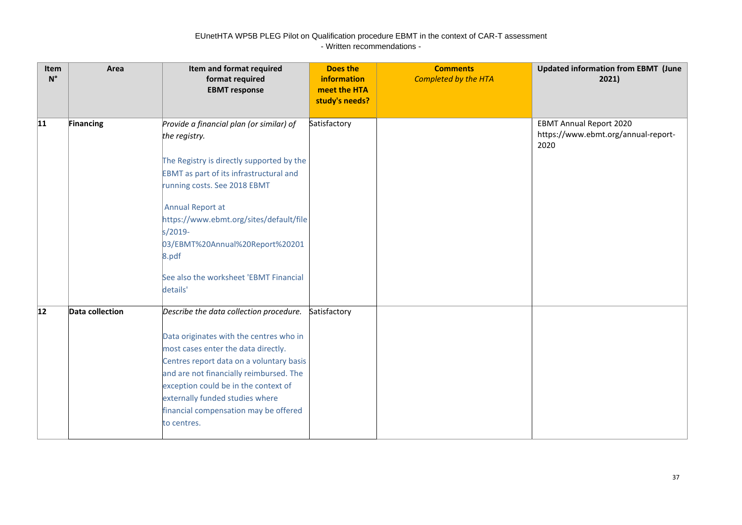| Item<br>$\mathsf{N}^\circ$ | Area            | Item and format required<br>format required<br><b>EBMT</b> response                                                                                                                                                                                                                                                                                                  | <b>Does the</b><br>information<br>meet the HTA<br>study's needs? | <b>Comments</b><br>Completed by the HTA | <b>Updated information from EBMT (June</b><br>2021)                           |
|----------------------------|-----------------|----------------------------------------------------------------------------------------------------------------------------------------------------------------------------------------------------------------------------------------------------------------------------------------------------------------------------------------------------------------------|------------------------------------------------------------------|-----------------------------------------|-------------------------------------------------------------------------------|
| 11                         | Financing       | Provide a financial plan (or similar) of<br>the registry.<br>The Registry is directly supported by the<br><b>EBMT</b> as part of its infrastructural and<br>running costs. See 2018 EBMT<br>Annual Report at<br>https://www.ebmt.org/sites/default/file<br>s/2019-<br>03/EBMT%20Annual%20Report%20201<br>8.pdf<br>See also the worksheet 'EBMT Financial<br>details' | Satisfactory                                                     |                                         | <b>EBMT Annual Report 2020</b><br>https://www.ebmt.org/annual-report-<br>2020 |
| $ 12\rangle$               | Data collection | Describe the data collection procedure.<br>Data originates with the centres who in<br>most cases enter the data directly.<br>Centres report data on a voluntary basis<br>and are not financially reimbursed. The<br>exception could be in the context of<br>externally funded studies where<br>financial compensation may be offered<br>to centres.                  | Satisfactory                                                     |                                         |                                                                               |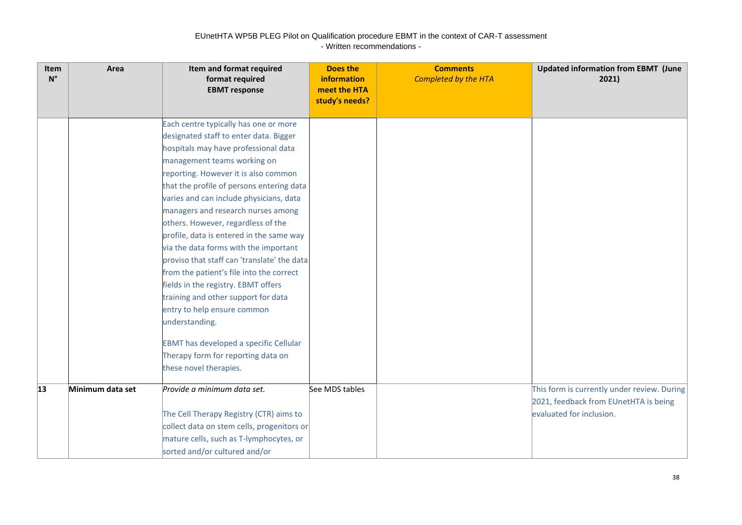| Item<br>$N^{\circ}$ | Area             | Item and format required<br>format required<br><b>EBMT</b> response                                                                                                                                                                                                                                                                                                                                                                                                                                                                                                                                                                                                                                                                                                                                | <b>Does the</b><br><b>information</b><br>meet the HTA<br>study's needs? | <b>Comments</b><br><b>Completed by the HTA</b> | <b>Updated information from EBMT (June</b><br>2021)                                                              |
|---------------------|------------------|----------------------------------------------------------------------------------------------------------------------------------------------------------------------------------------------------------------------------------------------------------------------------------------------------------------------------------------------------------------------------------------------------------------------------------------------------------------------------------------------------------------------------------------------------------------------------------------------------------------------------------------------------------------------------------------------------------------------------------------------------------------------------------------------------|-------------------------------------------------------------------------|------------------------------------------------|------------------------------------------------------------------------------------------------------------------|
|                     |                  | Each centre typically has one or more<br>designated staff to enter data. Bigger<br>hospitals may have professional data<br>management teams working on<br>reporting. However it is also common<br>that the profile of persons entering data<br>varies and can include physicians, data<br>managers and research nurses among<br>others. However, regardless of the<br>profile, data is entered in the same way<br>via the data forms with the important<br>proviso that staff can 'translate' the data<br>from the patient's file into the correct<br>fields in the registry. EBMT offers<br>training and other support for data<br>entry to help ensure common<br>understanding.<br><b>EBMT</b> has developed a specific Cellular<br>Therapy form for reporting data on<br>these novel therapies. |                                                                         |                                                |                                                                                                                  |
| $ 13\rangle$        | Minimum data set | Provide a minimum data set.<br>The Cell Therapy Registry (CTR) aims to<br>collect data on stem cells, progenitors or<br>mature cells, such as T-lymphocytes, or<br>sorted and/or cultured and/or                                                                                                                                                                                                                                                                                                                                                                                                                                                                                                                                                                                                   | See MDS tables                                                          |                                                | This form is currently under review. During<br>2021, feedback from EUnetHTA is being<br>evaluated for inclusion. |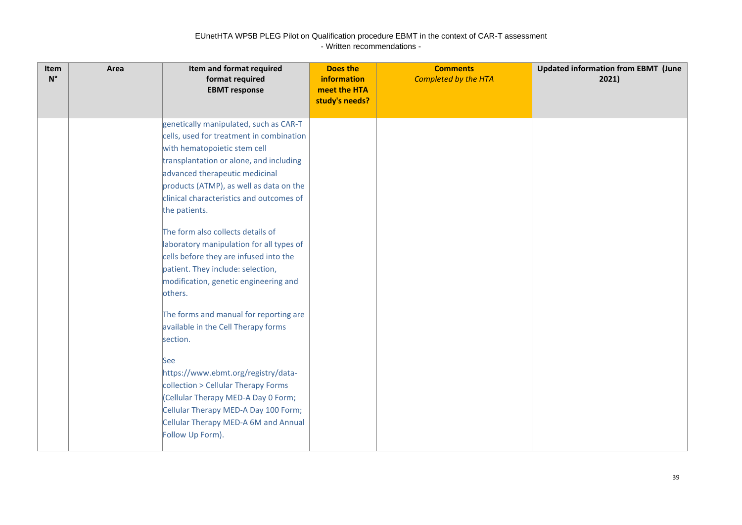| Item<br>$N^{\circ}$ | Area | Item and format required<br>format required<br><b>EBMT</b> response                                                                                                                                                                                                                                                                                                                                                                                                                                                                                                                                                                                                                                                                                                                                                                                             | <b>Does the</b><br>information<br>meet the HTA<br>study's needs? | <b>Comments</b><br><b>Completed by the HTA</b> | <b>Updated information from EBMT (June</b><br>2021) |
|---------------------|------|-----------------------------------------------------------------------------------------------------------------------------------------------------------------------------------------------------------------------------------------------------------------------------------------------------------------------------------------------------------------------------------------------------------------------------------------------------------------------------------------------------------------------------------------------------------------------------------------------------------------------------------------------------------------------------------------------------------------------------------------------------------------------------------------------------------------------------------------------------------------|------------------------------------------------------------------|------------------------------------------------|-----------------------------------------------------|
|                     |      | genetically manipulated, such as CAR-T<br>cells, used for treatment in combination<br>with hematopoietic stem cell<br>transplantation or alone, and including<br>advanced therapeutic medicinal<br>products (ATMP), as well as data on the<br>clinical characteristics and outcomes of<br>the patients.<br>The form also collects details of<br>laboratory manipulation for all types of<br>cells before they are infused into the<br>patient. They include: selection,<br>modification, genetic engineering and<br>others.<br>The forms and manual for reporting are<br>available in the Cell Therapy forms<br>section.<br><b>See</b><br>https://www.ebmt.org/registry/data-<br>collection > Cellular Therapy Forms<br>(Cellular Therapy MED-A Day 0 Form;<br>Cellular Therapy MED-A Day 100 Form;<br>Cellular Therapy MED-A 6M and Annual<br>Follow Up Form). |                                                                  |                                                |                                                     |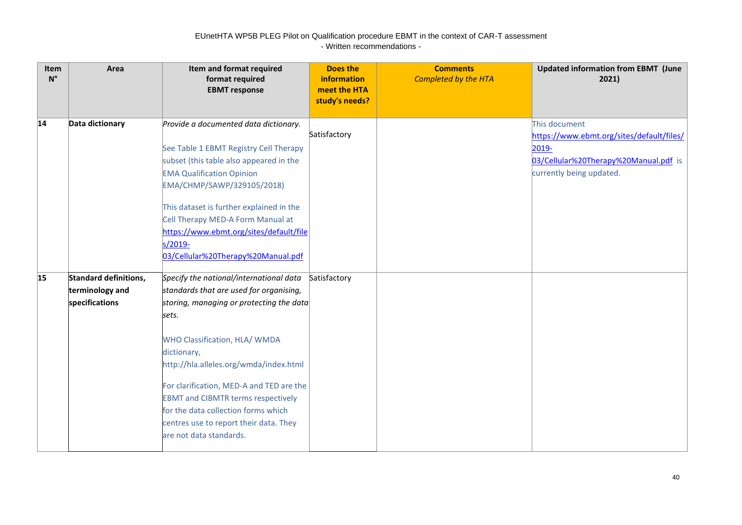| Item<br>$N^{\circ}$ | Area                                                              | Item and format required<br>format required<br><b>EBMT</b> response                                                                                                                                                                                                                                                                                                                                                                    | <b>Does the</b><br><b>information</b><br>meet the HTA<br>study's needs? | <b>Comments</b><br><b>Completed by the HTA</b> | <b>Updated information from EBMT (June</b><br>2021)                                                                                         |
|---------------------|-------------------------------------------------------------------|----------------------------------------------------------------------------------------------------------------------------------------------------------------------------------------------------------------------------------------------------------------------------------------------------------------------------------------------------------------------------------------------------------------------------------------|-------------------------------------------------------------------------|------------------------------------------------|---------------------------------------------------------------------------------------------------------------------------------------------|
| 14                  | Data dictionary                                                   | Provide a documented data dictionary.<br>See Table 1 EBMT Registry Cell Therapy<br>subset (this table also appeared in the<br><b>EMA Qualification Opinion</b><br>EMA/CHMP/SAWP/329105/2018)<br>This dataset is further explained in the<br>Cell Therapy MED-A Form Manual at<br>https://www.ebmt.org/sites/default/file<br>s/2019-<br>03/Cellular%20Therapy%20Manual.pdf                                                              | Satisfactory                                                            |                                                | This document<br>https://www.ebmt.org/sites/default/files/<br>$2019 -$<br>03/Cellular%20Therapy%20Manual.pdf is<br>currently being updated. |
| 15                  | <b>Standard definitions,</b><br>terminology and<br>specifications | Specify the national/international data<br>standards that are used for organising,<br>storing, managing or protecting the data<br>sets.<br>WHO Classification, HLA/ WMDA<br>dictionary,<br>http://hla.alleles.org/wmda/index.html<br>For clarification, MED-A and TED are the<br><b>EBMT and CIBMTR terms respectively</b><br>for the data collection forms which<br>centres use to report their data. They<br>are not data standards. | Satisfactory                                                            |                                                |                                                                                                                                             |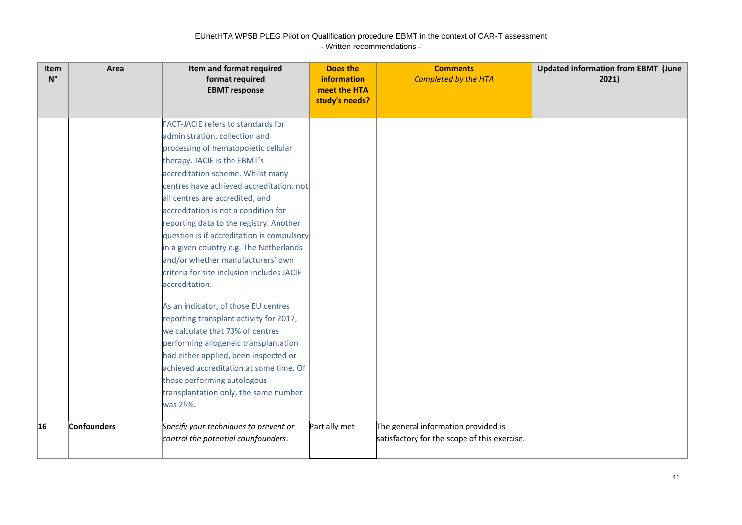| <b>Item</b><br>$N^{\circ}$ | Area               | Item and format required<br>format required<br><b>EBMT</b> response                                                                                                                                                                                                                                                                                                                                                                                                                                                                                                                                                                                                                                                                                                                                                                                                                              | Does the<br>information<br>meet the HTA<br>study's needs? | <b>Comments</b><br><b>Completed by the HTA</b>                                      | <b>Updated information from EBMT (June</b><br>2021) |
|----------------------------|--------------------|--------------------------------------------------------------------------------------------------------------------------------------------------------------------------------------------------------------------------------------------------------------------------------------------------------------------------------------------------------------------------------------------------------------------------------------------------------------------------------------------------------------------------------------------------------------------------------------------------------------------------------------------------------------------------------------------------------------------------------------------------------------------------------------------------------------------------------------------------------------------------------------------------|-----------------------------------------------------------|-------------------------------------------------------------------------------------|-----------------------------------------------------|
|                            |                    | <b>FACT-JACIE refers to standards for</b><br>administration, collection and<br>processing of hematopoietic cellular<br>therapy. JACIE is the EBMT's<br>accreditation scheme. Whilst many<br>centres have achieved accreditation, not<br>all centres are accredited, and<br>accreditation is not a condition for<br>reporting data to the registry. Another<br>question is if accreditation is compulsory<br>in a given country e.g. The Netherlands<br>and/or whether manufacturers' own<br>criteria for site inclusion includes JACIE<br>accreditation.<br>As an indicator, of those EU centres<br>reporting transplant activity for 2017,<br>we calculate that 73% of centres<br>performing allogeneic transplantation<br>had either applied, been inspected or<br>achieved accreditation at some time. Of<br>those performing autologous<br>transplantation only, the same number<br>was 25%. |                                                           |                                                                                     |                                                     |
| 16                         | <b>Confounders</b> | Specify your techniques to prevent or<br>control the potential counfounders.                                                                                                                                                                                                                                                                                                                                                                                                                                                                                                                                                                                                                                                                                                                                                                                                                     | Partially met                                             | The general information provided is<br>satisfactory for the scope of this exercise. |                                                     |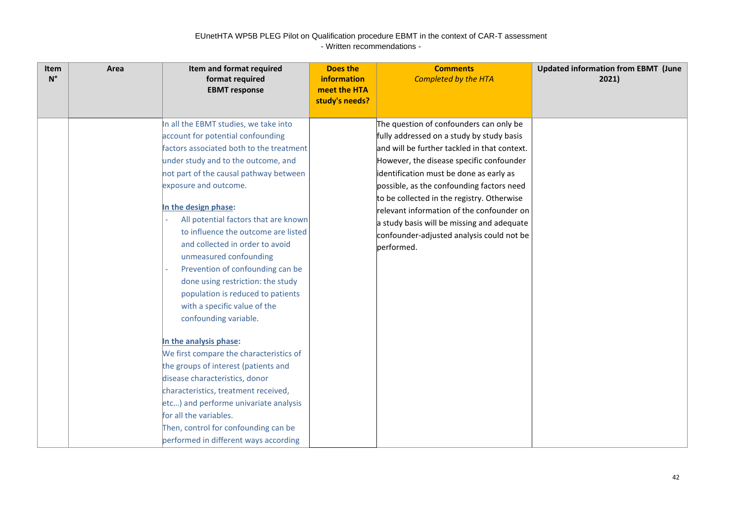| Item<br>$N^{\circ}$ | Area | Item and format required<br>format required<br><b>EBMT</b> response                                                                                                                                                                                                                                                                                                                                                                                                                                                                                                                                   | <b>Does the</b><br><b>information</b><br>meet the HTA<br>study's needs? | <b>Comments</b><br>Completed by the HTA                                                                                                                                                                                                                                                                                                                                                                                                                                      | <b>Updated information from EBMT (June</b><br>2021) |
|---------------------|------|-------------------------------------------------------------------------------------------------------------------------------------------------------------------------------------------------------------------------------------------------------------------------------------------------------------------------------------------------------------------------------------------------------------------------------------------------------------------------------------------------------------------------------------------------------------------------------------------------------|-------------------------------------------------------------------------|------------------------------------------------------------------------------------------------------------------------------------------------------------------------------------------------------------------------------------------------------------------------------------------------------------------------------------------------------------------------------------------------------------------------------------------------------------------------------|-----------------------------------------------------|
|                     |      | In all the EBMT studies, we take into<br>account for potential confounding<br>factors associated both to the treatment<br>under study and to the outcome, and<br>not part of the causal pathway between<br>exposure and outcome.<br>In the design phase:<br>All potential factors that are known<br>to influence the outcome are listed<br>and collected in order to avoid<br>unmeasured confounding<br>Prevention of confounding can be<br>done using restriction: the study<br>population is reduced to patients<br>with a specific value of the<br>confounding variable.<br>In the analysis phase: |                                                                         | The question of confounders can only be<br>fully addressed on a study by study basis<br>and will be further tackled in that context.<br>However, the disease specific confounder<br>identification must be done as early as<br>possible, as the confounding factors need<br>to be collected in the registry. Otherwise<br>relevant information of the confounder on<br>a study basis will be missing and adequate<br>confounder-adjusted analysis could not be<br>performed. |                                                     |
|                     |      | We first compare the characteristics of<br>the groups of interest (patients and<br>disease characteristics, donor<br>characteristics, treatment received,<br>etc) and performe univariate analysis<br>for all the variables.<br>Then, control for confounding can be<br>performed in different ways according                                                                                                                                                                                                                                                                                         |                                                                         |                                                                                                                                                                                                                                                                                                                                                                                                                                                                              |                                                     |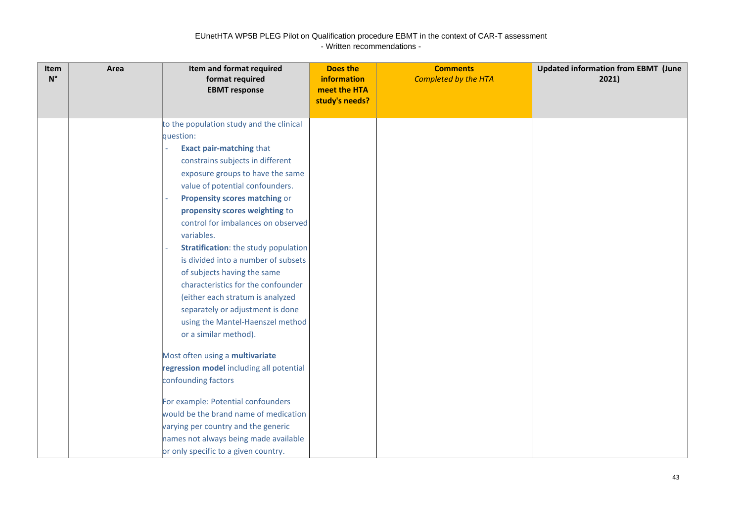| Item<br>$\mathsf{N}^\circ$ | Area | Item and format required<br>format required<br><b>EBMT</b> response | <b>Does the</b><br>information<br>meet the HTA<br>study's needs? | <b>Comments</b><br><b>Completed by the HTA</b> | <b>Updated information from EBMT (June</b><br>2021) |
|----------------------------|------|---------------------------------------------------------------------|------------------------------------------------------------------|------------------------------------------------|-----------------------------------------------------|
|                            |      |                                                                     |                                                                  |                                                |                                                     |
|                            |      | to the population study and the clinical                            |                                                                  |                                                |                                                     |
|                            |      | question:                                                           |                                                                  |                                                |                                                     |
|                            |      | <b>Exact pair-matching that</b>                                     |                                                                  |                                                |                                                     |
|                            |      | constrains subjects in different                                    |                                                                  |                                                |                                                     |
|                            |      | exposure groups to have the same                                    |                                                                  |                                                |                                                     |
|                            |      | value of potential confounders.                                     |                                                                  |                                                |                                                     |
|                            |      | <b>Propensity scores matching or</b>                                |                                                                  |                                                |                                                     |
|                            |      | propensity scores weighting to                                      |                                                                  |                                                |                                                     |
|                            |      | control for imbalances on observed                                  |                                                                  |                                                |                                                     |
|                            |      | variables.                                                          |                                                                  |                                                |                                                     |
|                            |      | Stratification: the study population                                |                                                                  |                                                |                                                     |
|                            |      | is divided into a number of subsets                                 |                                                                  |                                                |                                                     |
|                            |      | of subjects having the same                                         |                                                                  |                                                |                                                     |
|                            |      | characteristics for the confounder                                  |                                                                  |                                                |                                                     |
|                            |      | (either each stratum is analyzed                                    |                                                                  |                                                |                                                     |
|                            |      | separately or adjustment is done                                    |                                                                  |                                                |                                                     |
|                            |      | using the Mantel-Haenszel method                                    |                                                                  |                                                |                                                     |
|                            |      | or a similar method).                                               |                                                                  |                                                |                                                     |
|                            |      | Most often using a multivariate                                     |                                                                  |                                                |                                                     |
|                            |      | regression model including all potential                            |                                                                  |                                                |                                                     |
|                            |      | confounding factors                                                 |                                                                  |                                                |                                                     |
|                            |      | For example: Potential confounders                                  |                                                                  |                                                |                                                     |
|                            |      | would be the brand name of medication                               |                                                                  |                                                |                                                     |
|                            |      | varying per country and the generic                                 |                                                                  |                                                |                                                     |
|                            |      | names not always being made available                               |                                                                  |                                                |                                                     |
|                            |      | or only specific to a given country.                                |                                                                  |                                                |                                                     |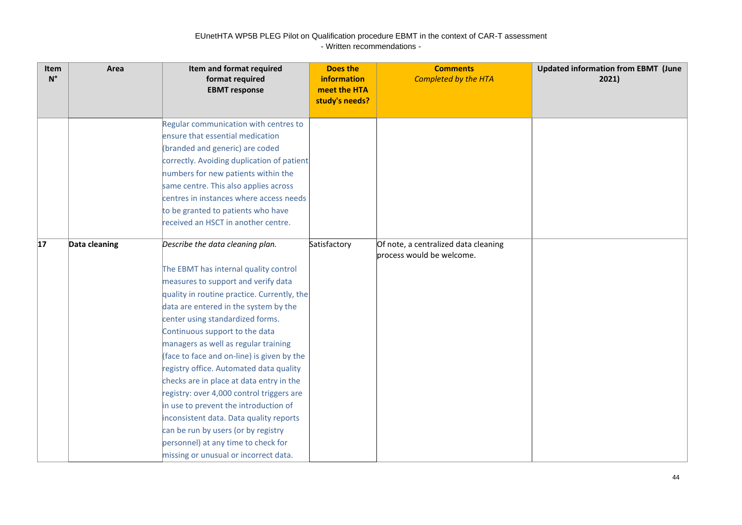| Item<br>$N^{\circ}$ | Area          | Item and format required<br>format required<br><b>EBMT</b> response                                                                                                                                                                                                                                                                                                                                                                                                                                                                                                                                                                                                             | <b>Does the</b><br>information<br>meet the HTA<br>study's needs? | <b>Comments</b><br><b>Completed by the HTA</b>                    | <b>Updated information from EBMT (June</b><br>2021) |
|---------------------|---------------|---------------------------------------------------------------------------------------------------------------------------------------------------------------------------------------------------------------------------------------------------------------------------------------------------------------------------------------------------------------------------------------------------------------------------------------------------------------------------------------------------------------------------------------------------------------------------------------------------------------------------------------------------------------------------------|------------------------------------------------------------------|-------------------------------------------------------------------|-----------------------------------------------------|
|                     |               | Regular communication with centres to<br>ensure that essential medication<br>(branded and generic) are coded<br>correctly. Avoiding duplication of patient<br>numbers for new patients within the<br>same centre. This also applies across<br>centres in instances where access needs<br>to be granted to patients who have                                                                                                                                                                                                                                                                                                                                                     |                                                                  |                                                                   |                                                     |
| 17                  | Data cleaning | received an HSCT in another centre.<br>Describe the data cleaning plan.                                                                                                                                                                                                                                                                                                                                                                                                                                                                                                                                                                                                         | Satisfactory                                                     | Of note, a centralized data cleaning<br>process would be welcome. |                                                     |
|                     |               | The EBMT has internal quality control<br>measures to support and verify data<br>quality in routine practice. Currently, the<br>data are entered in the system by the<br>center using standardized forms.<br>Continuous support to the data<br>managers as well as regular training<br>(face to face and on-line) is given by the<br>registry office. Automated data quality<br>checks are in place at data entry in the<br>registry: over 4,000 control triggers are<br>in use to prevent the introduction of<br>inconsistent data. Data quality reports<br>can be run by users (or by registry<br>personnel) at any time to check for<br>missing or unusual or incorrect data. |                                                                  |                                                                   |                                                     |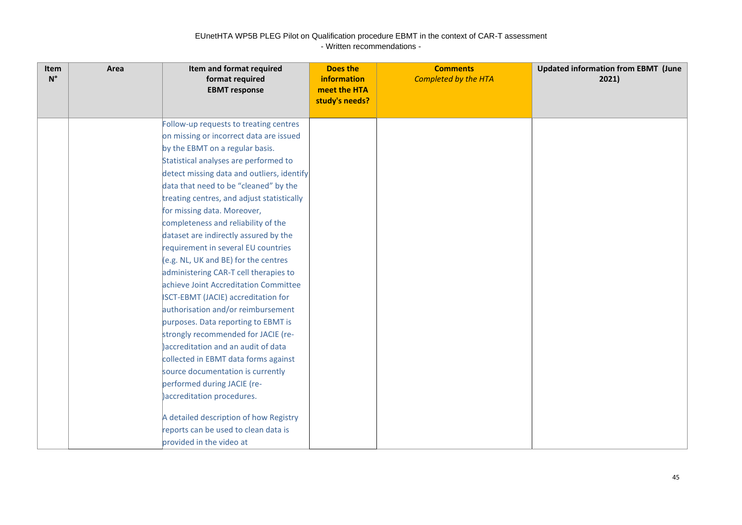| <b>Item</b><br>$N^{\circ}$ | Area | Item and format required<br>format required<br><b>EBMT</b> response | <b>Does the</b><br>information<br>meet the HTA<br>study's needs? | <b>Comments</b><br><b>Completed by the HTA</b> | <b>Updated information from EBMT (June</b><br>2021) |
|----------------------------|------|---------------------------------------------------------------------|------------------------------------------------------------------|------------------------------------------------|-----------------------------------------------------|
|                            |      | Follow-up requests to treating centres                              |                                                                  |                                                |                                                     |
|                            |      | on missing or incorrect data are issued                             |                                                                  |                                                |                                                     |
|                            |      | by the EBMT on a regular basis.                                     |                                                                  |                                                |                                                     |
|                            |      | Statistical analyses are performed to                               |                                                                  |                                                |                                                     |
|                            |      | detect missing data and outliers, identify                          |                                                                  |                                                |                                                     |
|                            |      | data that need to be "cleaned" by the                               |                                                                  |                                                |                                                     |
|                            |      | treating centres, and adjust statistically                          |                                                                  |                                                |                                                     |
|                            |      | for missing data. Moreover,                                         |                                                                  |                                                |                                                     |
|                            |      | completeness and reliability of the                                 |                                                                  |                                                |                                                     |
|                            |      | dataset are indirectly assured by the                               |                                                                  |                                                |                                                     |
|                            |      | requirement in several EU countries                                 |                                                                  |                                                |                                                     |
|                            |      | (e.g. NL, UK and BE) for the centres                                |                                                                  |                                                |                                                     |
|                            |      | administering CAR-T cell therapies to                               |                                                                  |                                                |                                                     |
|                            |      | achieve Joint Accreditation Committee                               |                                                                  |                                                |                                                     |
|                            |      | <b>ISCT-EBMT (JACIE) accreditation for</b>                          |                                                                  |                                                |                                                     |
|                            |      | authorisation and/or reimbursement                                  |                                                                  |                                                |                                                     |
|                            |      | purposes. Data reporting to EBMT is                                 |                                                                  |                                                |                                                     |
|                            |      | strongly recommended for JACIE (re-                                 |                                                                  |                                                |                                                     |
|                            |      | accreditation and an audit of data                                  |                                                                  |                                                |                                                     |
|                            |      | collected in EBMT data forms against                                |                                                                  |                                                |                                                     |
|                            |      | source documentation is currently                                   |                                                                  |                                                |                                                     |
|                            |      | performed during JACIE (re-                                         |                                                                  |                                                |                                                     |
|                            |      | accreditation procedures.                                           |                                                                  |                                                |                                                     |
|                            |      | A detailed description of how Registry                              |                                                                  |                                                |                                                     |
|                            |      | reports can be used to clean data is                                |                                                                  |                                                |                                                     |
|                            |      | provided in the video at                                            |                                                                  |                                                |                                                     |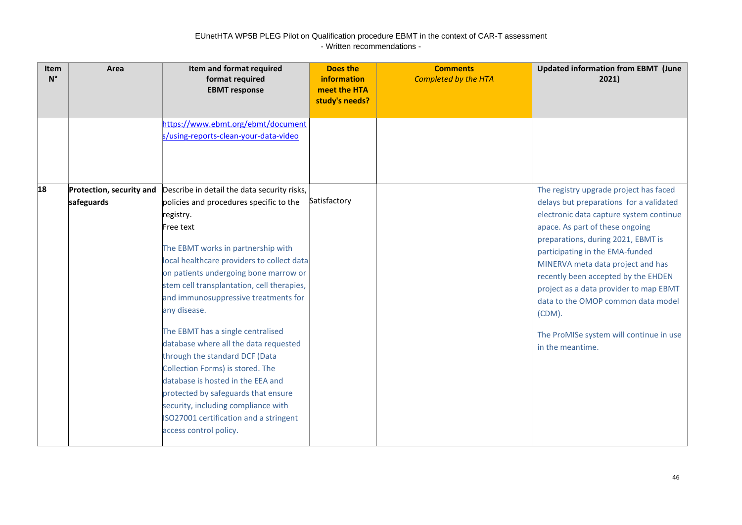| Item<br>$N^{\circ}$ | Area                                   | Item and format required<br>format required<br><b>EBMT</b> response                                                                                                                                                                                                                                                                                                                                                                                                                                                                                                                                                                                                                            | Does the<br>information<br>meet the HTA<br>study's needs? | <b>Comments</b><br><b>Completed by the HTA</b> | <b>Updated information from EBMT (June</b><br>2021)                                                                                                                                                                                                                                                                                                                                                                                                                              |
|---------------------|----------------------------------------|------------------------------------------------------------------------------------------------------------------------------------------------------------------------------------------------------------------------------------------------------------------------------------------------------------------------------------------------------------------------------------------------------------------------------------------------------------------------------------------------------------------------------------------------------------------------------------------------------------------------------------------------------------------------------------------------|-----------------------------------------------------------|------------------------------------------------|----------------------------------------------------------------------------------------------------------------------------------------------------------------------------------------------------------------------------------------------------------------------------------------------------------------------------------------------------------------------------------------------------------------------------------------------------------------------------------|
|                     |                                        | https://www.ebmt.org/ebmt/document<br>s/using-reports-clean-your-data-video                                                                                                                                                                                                                                                                                                                                                                                                                                                                                                                                                                                                                    |                                                           |                                                |                                                                                                                                                                                                                                                                                                                                                                                                                                                                                  |
| 18                  | Protection, security and<br>safeguards | Describe in detail the data security risks,<br>policies and procedures specific to the<br>registry.<br>Free text<br>The EBMT works in partnership with<br>local healthcare providers to collect data<br>on patients undergoing bone marrow or<br>stem cell transplantation, cell therapies,<br>and immunosuppressive treatments for<br>any disease.<br>The EBMT has a single centralised<br>database where all the data requested<br>through the standard DCF (Data<br>Collection Forms) is stored. The<br>database is hosted in the EEA and<br>protected by safeguards that ensure<br>security, including compliance with<br>ISO27001 certification and a stringent<br>access control policy. | Satisfactory                                              |                                                | The registry upgrade project has faced<br>delays but preparations for a validated<br>electronic data capture system continue<br>apace. As part of these ongoing<br>preparations, during 2021, EBMT is<br>participating in the EMA-funded<br>MINERVA meta data project and has<br>recently been accepted by the EHDEN<br>project as a data provider to map EBMT<br>data to the OMOP common data model<br>$(CDM)$ .<br>The ProMISe system will continue in use<br>in the meantime. |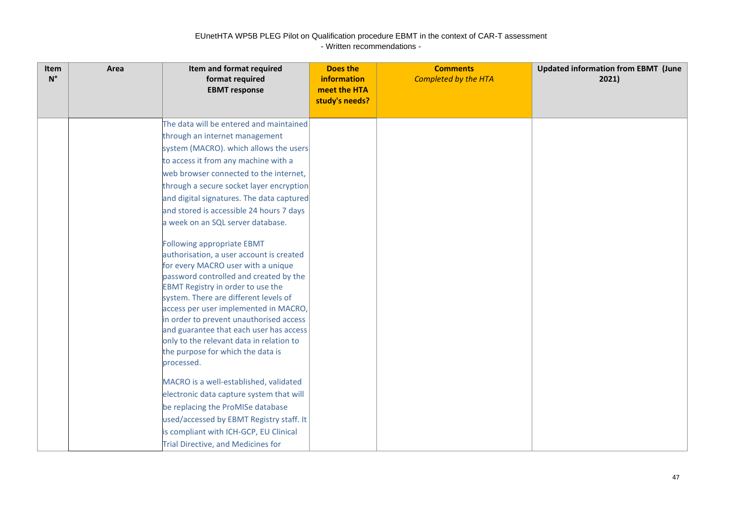| Item<br>$N^{\circ}$ | Area | Item and format required<br>format required<br><b>EBMT</b> response        | Does the<br>information<br>meet the HTA<br>study's needs? | <b>Comments</b><br><b>Completed by the HTA</b> | <b>Updated information from EBMT (June</b><br>2021) |
|---------------------|------|----------------------------------------------------------------------------|-----------------------------------------------------------|------------------------------------------------|-----------------------------------------------------|
|                     |      | The data will be entered and maintained                                    |                                                           |                                                |                                                     |
|                     |      | through an internet management                                             |                                                           |                                                |                                                     |
|                     |      | system (MACRO). which allows the users                                     |                                                           |                                                |                                                     |
|                     |      | to access it from any machine with a                                       |                                                           |                                                |                                                     |
|                     |      | web browser connected to the internet,                                     |                                                           |                                                |                                                     |
|                     |      | through a secure socket layer encryption                                   |                                                           |                                                |                                                     |
|                     |      | and digital signatures. The data captured                                  |                                                           |                                                |                                                     |
|                     |      | and stored is accessible 24 hours 7 days                                   |                                                           |                                                |                                                     |
|                     |      | a week on an SQL server database.                                          |                                                           |                                                |                                                     |
|                     |      | <b>Following appropriate EBMT</b>                                          |                                                           |                                                |                                                     |
|                     |      | authorisation, a user account is created                                   |                                                           |                                                |                                                     |
|                     |      | for every MACRO user with a unique                                         |                                                           |                                                |                                                     |
|                     |      | password controlled and created by the                                     |                                                           |                                                |                                                     |
|                     |      | EBMT Registry in order to use the<br>system. There are different levels of |                                                           |                                                |                                                     |
|                     |      | access per user implemented in MACRO,                                      |                                                           |                                                |                                                     |
|                     |      | in order to prevent unauthorised access                                    |                                                           |                                                |                                                     |
|                     |      | and guarantee that each user has access                                    |                                                           |                                                |                                                     |
|                     |      | only to the relevant data in relation to                                   |                                                           |                                                |                                                     |
|                     |      | the purpose for which the data is                                          |                                                           |                                                |                                                     |
|                     |      | processed.                                                                 |                                                           |                                                |                                                     |
|                     |      | MACRO is a well-established, validated                                     |                                                           |                                                |                                                     |
|                     |      | electronic data capture system that will                                   |                                                           |                                                |                                                     |
|                     |      | be replacing the ProMISe database                                          |                                                           |                                                |                                                     |
|                     |      | used/accessed by EBMT Registry staff. It                                   |                                                           |                                                |                                                     |
|                     |      | is compliant with ICH-GCP, EU Clinical                                     |                                                           |                                                |                                                     |
|                     |      | Trial Directive, and Medicines for                                         |                                                           |                                                |                                                     |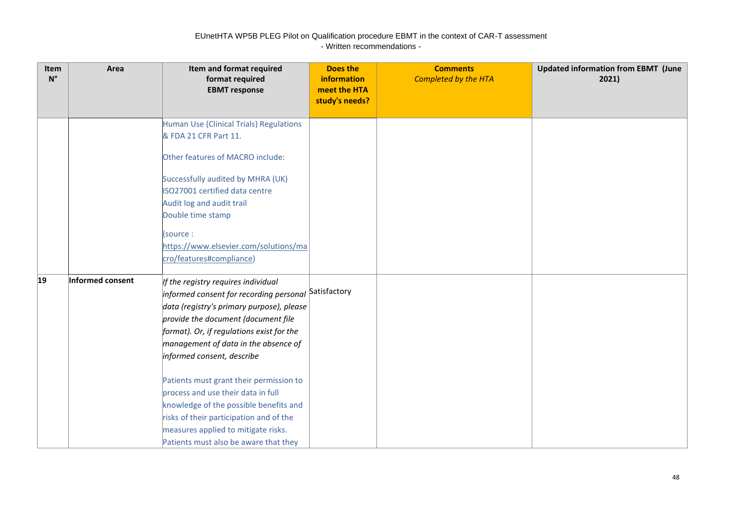| Item<br>$N^{\circ}$ | Area             | Item and format required<br>format required<br><b>EBMT</b> response | <b>Does the</b><br>information<br>meet the HTA<br>study's needs? | <b>Comments</b><br><b>Completed by the HTA</b> | <b>Updated information from EBMT (June</b><br>2021) |
|---------------------|------------------|---------------------------------------------------------------------|------------------------------------------------------------------|------------------------------------------------|-----------------------------------------------------|
|                     |                  | Human Use (Clinical Trials) Regulations                             |                                                                  |                                                |                                                     |
|                     |                  | & FDA 21 CFR Part 11.                                               |                                                                  |                                                |                                                     |
|                     |                  | Other features of MACRO include:                                    |                                                                  |                                                |                                                     |
|                     |                  | Successfully audited by MHRA (UK)                                   |                                                                  |                                                |                                                     |
|                     |                  | ISO27001 certified data centre                                      |                                                                  |                                                |                                                     |
|                     |                  | Audit log and audit trail                                           |                                                                  |                                                |                                                     |
|                     |                  | Double time stamp                                                   |                                                                  |                                                |                                                     |
|                     |                  | (source:                                                            |                                                                  |                                                |                                                     |
|                     |                  | https://www.elsevier.com/solutions/ma                               |                                                                  |                                                |                                                     |
|                     |                  | cro/features#compliance)                                            |                                                                  |                                                |                                                     |
| $ 19\rangle$        | Informed consent | If the registry requires individual                                 |                                                                  |                                                |                                                     |
|                     |                  | informed consent for recording personal                             | Satisfactory                                                     |                                                |                                                     |
|                     |                  | data (registry's primary purpose), please                           |                                                                  |                                                |                                                     |
|                     |                  | provide the document (document file                                 |                                                                  |                                                |                                                     |
|                     |                  | format). Or, if regulations exist for the                           |                                                                  |                                                |                                                     |
|                     |                  | management of data in the absence of                                |                                                                  |                                                |                                                     |
|                     |                  | informed consent, describe                                          |                                                                  |                                                |                                                     |
|                     |                  | Patients must grant their permission to                             |                                                                  |                                                |                                                     |
|                     |                  | process and use their data in full                                  |                                                                  |                                                |                                                     |
|                     |                  | knowledge of the possible benefits and                              |                                                                  |                                                |                                                     |
|                     |                  | risks of their participation and of the                             |                                                                  |                                                |                                                     |
|                     |                  | measures applied to mitigate risks.                                 |                                                                  |                                                |                                                     |
|                     |                  | Patients must also be aware that they                               |                                                                  |                                                |                                                     |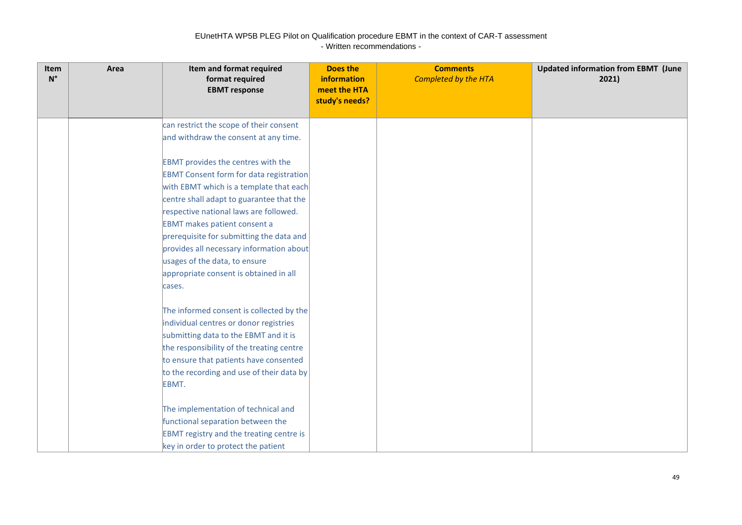| Item<br>$\mathsf{N}^\circ$ | Area | Item and format required<br>format required<br><b>EBMT</b> response                    | <b>Does the</b><br><b>information</b><br>meet the HTA<br>study's needs? | <b>Comments</b><br><b>Completed by the HTA</b> | <b>Updated information from EBMT (June</b><br>2021) |
|----------------------------|------|----------------------------------------------------------------------------------------|-------------------------------------------------------------------------|------------------------------------------------|-----------------------------------------------------|
|                            |      | can restrict the scope of their consent                                                |                                                                         |                                                |                                                     |
|                            |      | and withdraw the consent at any time.                                                  |                                                                         |                                                |                                                     |
|                            |      | <b>EBMT</b> provides the centres with the                                              |                                                                         |                                                |                                                     |
|                            |      | <b>EBMT Consent form for data registration</b>                                         |                                                                         |                                                |                                                     |
|                            |      | with EBMT which is a template that each                                                |                                                                         |                                                |                                                     |
|                            |      | centre shall adapt to guarantee that the                                               |                                                                         |                                                |                                                     |
|                            |      | respective national laws are followed.                                                 |                                                                         |                                                |                                                     |
|                            |      | <b>EBMT</b> makes patient consent a                                                    |                                                                         |                                                |                                                     |
|                            |      | prerequisite for submitting the data and                                               |                                                                         |                                                |                                                     |
|                            |      | provides all necessary information about<br>usages of the data, to ensure              |                                                                         |                                                |                                                     |
|                            |      | appropriate consent is obtained in all                                                 |                                                                         |                                                |                                                     |
|                            |      | cases.                                                                                 |                                                                         |                                                |                                                     |
|                            |      |                                                                                        |                                                                         |                                                |                                                     |
|                            |      | The informed consent is collected by the                                               |                                                                         |                                                |                                                     |
|                            |      | individual centres or donor registries                                                 |                                                                         |                                                |                                                     |
|                            |      | submitting data to the EBMT and it is                                                  |                                                                         |                                                |                                                     |
|                            |      | the responsibility of the treating centre                                              |                                                                         |                                                |                                                     |
|                            |      | to ensure that patients have consented                                                 |                                                                         |                                                |                                                     |
|                            |      | to the recording and use of their data by                                              |                                                                         |                                                |                                                     |
|                            |      | EBMT.                                                                                  |                                                                         |                                                |                                                     |
|                            |      |                                                                                        |                                                                         |                                                |                                                     |
|                            |      | The implementation of technical and                                                    |                                                                         |                                                |                                                     |
|                            |      | functional separation between the                                                      |                                                                         |                                                |                                                     |
|                            |      | <b>EBMT registry and the treating centre is</b><br>key in order to protect the patient |                                                                         |                                                |                                                     |
|                            |      |                                                                                        |                                                                         |                                                |                                                     |